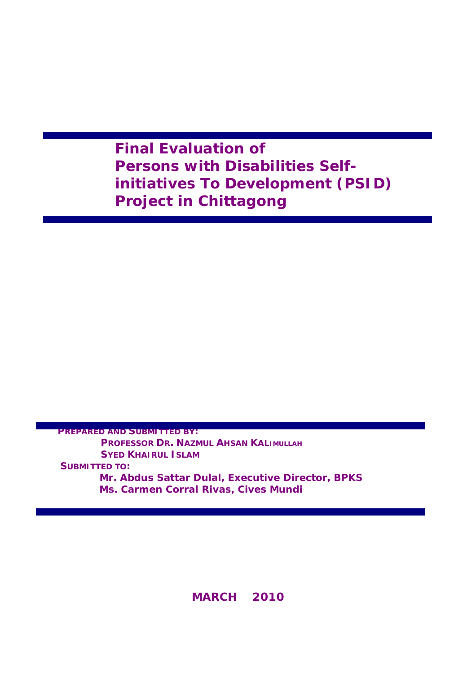## **Final Evaluation of Persons with Disabilities Selfinitiatives To Development (PSID) Project in Chittagong**

**PREPARED AND SUBMITTED BY: PROFESSOR DR. NAZMUL AHSAN KALIMULLAH SYED KHAIRUL ISLAM SUBMITTED TO: Mr. Abdus Sattar Dulal, Executive Director, BPKS Ms. Carmen Corral Rivas, Cives Mundi** 

**MARCH 2010**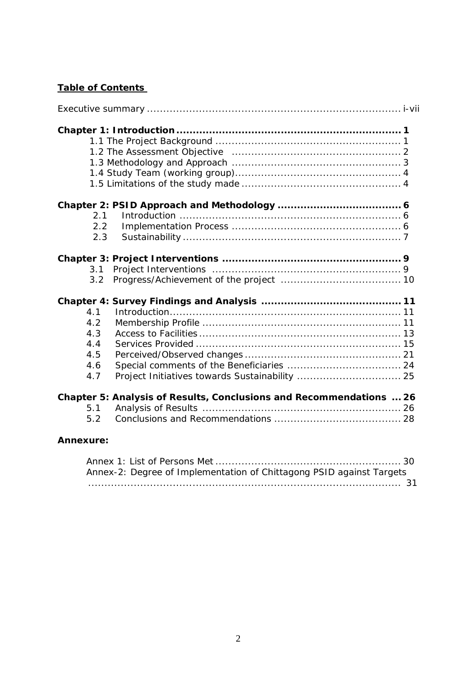## **Table of Contents**

| 2.1                                                                 |
|---------------------------------------------------------------------|
| 2.2                                                                 |
| 2.3                                                                 |
|                                                                     |
| 3.1                                                                 |
| $3.2^{\circ}$                                                       |
|                                                                     |
| 4.1                                                                 |
| 4.2                                                                 |
| 4.3                                                                 |
| 4.4                                                                 |
| 4.5                                                                 |
| 4.6                                                                 |
| 4.7                                                                 |
| Chapter 5: Analysis of Results, Conclusions and Recommendations  26 |
| 5.1                                                                 |
| 5.2                                                                 |
| <b>Annexure:</b>                                                    |

| Annex-2: Degree of Implementation of Chittagong PSID against Targets |  |
|----------------------------------------------------------------------|--|
|                                                                      |  |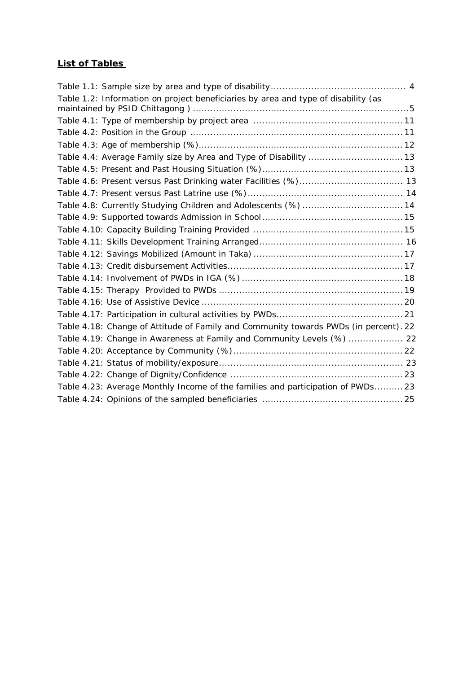## **List of Tables**

| Table 1.2: Information on project beneficiaries by area and type of disability (as   |  |
|--------------------------------------------------------------------------------------|--|
|                                                                                      |  |
|                                                                                      |  |
|                                                                                      |  |
| Table 4.4: Average Family size by Area and Type of Disability  13                    |  |
|                                                                                      |  |
| Table 4.6: Present versus Past Drinking water Facilities (%) 13                      |  |
|                                                                                      |  |
| Table 4.8: Currently Studying Children and Adolescents (%)  14                       |  |
|                                                                                      |  |
|                                                                                      |  |
|                                                                                      |  |
|                                                                                      |  |
|                                                                                      |  |
|                                                                                      |  |
|                                                                                      |  |
|                                                                                      |  |
|                                                                                      |  |
| Table 4.18: Change of Attitude of Family and Community towards PWDs (in percent). 22 |  |
| Table 4.19: Change in Awareness at Family and Community Levels (%)  22               |  |
|                                                                                      |  |
|                                                                                      |  |
|                                                                                      |  |
| Table 4.23: Average Monthly Income of the families and participation of PWDs23       |  |
|                                                                                      |  |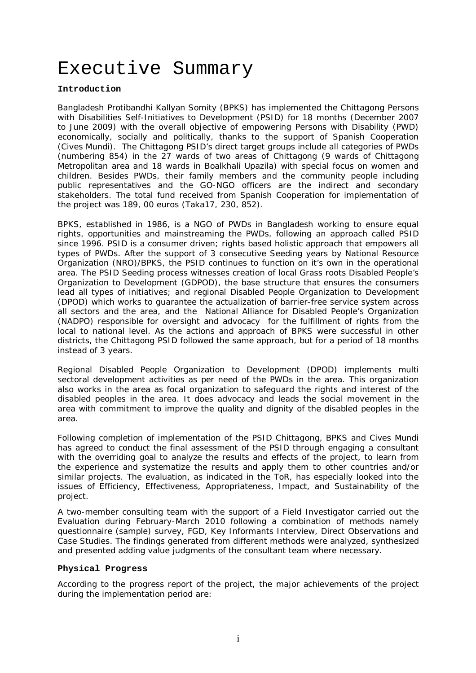# Executive Summary

#### **Introduction**

Bangladesh Protibandhi Kallyan Somity (BPKS) has implemented the Chittagong Persons with Disabilities Self-Initiatives to Development (PSID) for 18 months (December 2007 to June 2009) with the overall objective of empowering Persons with Disability (PWD) economically, socially and politically, thanks to the support of Spanish Cooperation (Cives Mundi). The Chittagong PSID's direct target groups include all categories of PWDs (numbering 854) in the 27 wards of two areas of Chittagong (9 wards of Chittagong Metropolitan area and 18 wards in Boalkhali Upazila) with special focus on women and children. Besides PWDs, their family members and the community people including public representatives and the GO-NGO officers are the indirect and secondary stakeholders. The total fund received from Spanish Cooperation for implementation of the project was 189, 00 euros (Taka17, 230, 852).

BPKS, established in 1986, is a NGO of PWDs in Bangladesh working to ensure equal rights, opportunities and mainstreaming the PWDs, following an approach called PSID since 1996. PSID is a consumer driven; rights based holistic approach that empowers all types of PWDs. After the support of 3 consecutive Seeding years by National Resource Organization (NRO)/BPKS, the PSID continues to function on it's own in the operational area. The PSID Seeding process witnesses creation of local Grass roots Disabled People's Organization to Development (GDPOD), the base structure that ensures the consumers lead all types of initiatives; and regional Disabled People Organization to Development (DPOD) which works to guarantee the actualization of barrier-free service system across all sectors and the area, and the National Alliance for Disabled People's Organization (NADPO) responsible for oversight and advocacy for the fulfillment of rights from the local to national level. As the actions and approach of BPKS were successful in other districts, the Chittagong PSID followed the same approach, but for a period of 18 months instead of 3 years.

Regional Disabled People Organization to Development (DPOD) implements multi sectoral development activities as per need of the PWDs in the area. This organization also works in the area as focal organization to safeguard the rights and interest of the disabled peoples in the area. It does advocacy and leads the social movement in the area with commitment to improve the quality and dignity of the disabled peoples in the area.

Following completion of implementation of the PSID Chittagong, BPKS and Cives Mundi has agreed to conduct the final assessment of the PSID through engaging a consultant with the overriding goal to analyze the results and effects of the project, to learn from the experience and systematize the results and apply them to other countries and/or similar projects. The evaluation, as indicated in the ToR, has especially looked into the issues of Efficiency, Effectiveness, Appropriateness, Impact, and Sustainability of the project.

A two-member consulting team with the support of a Field Investigator carried out the Evaluation during February-March 2010 following a combination of methods namely questionnaire (sample) survey, FGD, Key Informants Interview, Direct Observations and Case Studies. The findings generated from different methods were analyzed, synthesized and presented adding value judgments of the consultant team where necessary.

#### **Physical Progress**

According to the progress report of the project, the major achievements of the project during the implementation period are: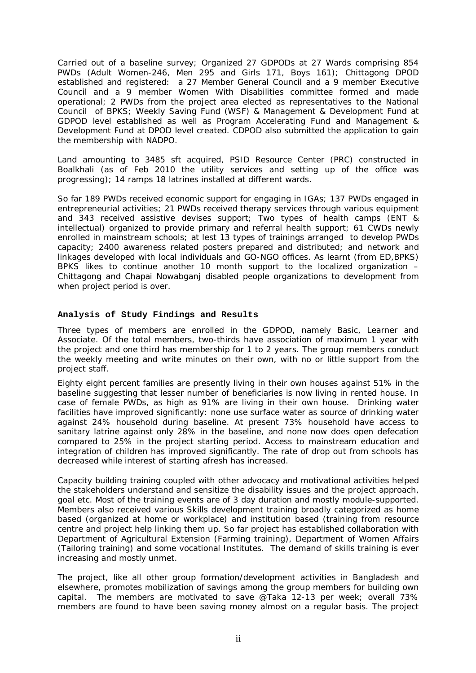Carried out of a baseline survey; Organized 27 GDPODs at 27 Wards comprising 854 PWDs (Adult Women-246, Men 295 and Girls 171, Boys 161); Chittagong DPOD established and registered: a 27 Member General Council and a 9 member Executive Council and a 9 member Women With Disabilities committee formed and made operational; 2 PWDs from the project area elected as representatives to the National Council of BPKS; Weekly Saving Fund (WSF) & Management & Development Fund at GDPOD level established as well as Program Accelerating Fund and Management & Development Fund at DPOD level created. CDPOD also submitted the application to gain the membership with NADPO.

Land amounting to 3485 sft acquired, PSID Resource Center (PRC) constructed in Boalkhali (as of Feb 2010 the utility services and setting up of the office was progressing); 14 ramps 18 latrines installed at different wards.

So far 189 PWDs received economic support for engaging in IGAs; 137 PWDs engaged in entrepreneurial activities; 21 PWDs received therapy services through various equipment and 343 received assistive devises support; Two types of health camps (ENT & intellectual) organized to provide primary and referral health support; 61 CWDs newly enrolled in mainstream schools; at lest 13 types of trainings arranged to develop PWDs capacity; 2400 awareness related posters prepared and distributed; and network and linkages developed with local individuals and GO-NGO offices. As learnt (from ED,BPKS) BPKS likes to continue another 10 month support to the localized organization – Chittagong and Chapai Nowabganj disabled people organizations to development from when project period is over.

#### **Analysis of Study Findings and Results**

Three types of members are enrolled in the GDPOD, namely Basic, Learner and Associate. Of the total members, two-thirds have association of maximum 1 year with the project and one third has membership for 1 to 2 years. The group members conduct the weekly meeting and write minutes on their own, with no or little support from the project staff.

Eighty eight percent families are presently living in their own houses against 51% in the baseline suggesting that lesser number of beneficiaries is now living in rented house. In case of female PWDs, as high as 91% are living in their own house. Drinking water facilities have improved significantly: none use surface water as source of drinking water against 24% household during baseline. At present 73% household have access to sanitary latrine against only 28% in the baseline, and none now does open defecation compared to 25% in the project starting period. Access to mainstream education and integration of children has improved significantly. The rate of drop out from schools has decreased while interest of starting afresh has increased.

Capacity building training coupled with other advocacy and motivational activities helped the stakeholders understand and sensitize the disability issues and the project approach, goal etc. Most of the training events are of 3 day duration and mostly module-supported. Members also received various Skills development training broadly categorized as home based (organized at home or workplace) and institution based (training from resource centre and project help linking them up. So far project has established collaboration with Department of Agricultural Extension (Farming training), Department of Women Affairs (Tailoring training) and some vocational Institutes. The demand of skills training is ever increasing and mostly unmet.

The project, like all other group formation/development activities in Bangladesh and elsewhere, promotes mobilization of savings among the group members for building own capital. The members are motivated to save @Taka 12-13 per week; overall 73% members are found to have been saving money almost on a regular basis. The project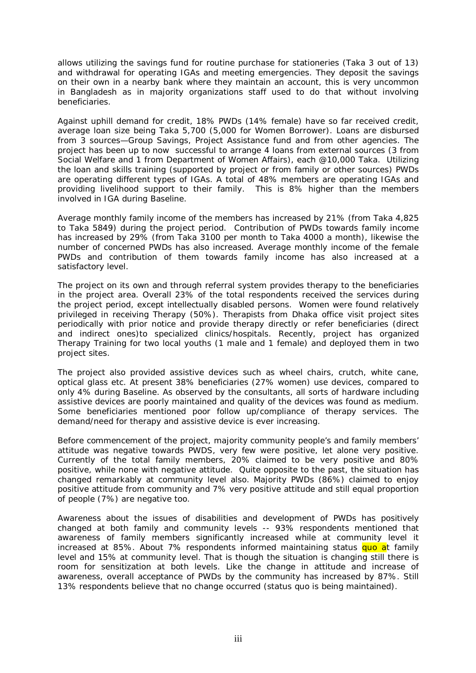allows utilizing the savings fund for routine purchase for stationeries (Taka 3 out of 13) and withdrawal for operating IGAs and meeting emergencies. They deposit the savings on their own in a nearby bank where they maintain an account, this is very uncommon in Bangladesh as in majority organizations staff used to do that without involving beneficiaries.

Against uphill demand for credit, 18% PWDs (14% female) have so far received credit, average loan size being Taka 5,700 (5,000 for Women Borrower). Loans are disbursed from 3 sources—Group Savings, Project Assistance fund and from other agencies. The project has been up to now successful to arrange 4 loans from external sources (3 from Social Welfare and 1 from Department of Women Affairs), each @10,000 Taka. Utilizing the loan and skills training (supported by project or from family or other sources) PWDs are operating different types of IGAs. A total of 48% members are operating IGAs and providing livelihood support to their family. This is 8% higher than the members involved in IGA during Baseline.

Average monthly family income of the members has increased by 21% (from Taka 4,825 to Taka 5849) during the project period. Contribution of PWDs towards family income has increased by 29% (from Taka 3100 per month to Taka 4000 a month), likewise the number of concerned PWDs has also increased. Average monthly income of the female PWDs and contribution of them towards family income has also increased at a satisfactory level.

The project on its own and through referral system provides therapy to the beneficiaries in the project area. Overall 23% of the total respondents received the services during the project period, except intellectually disabled persons. Women were found relatively privileged in receiving Therapy (50%). Therapists from Dhaka office visit project sites periodically with prior notice and provide therapy directly or refer beneficiaries (direct and indirect ones)to specialized clinics/hospitals. Recently, project has organized Therapy Training for two local youths (1 male and 1 female) and deployed them in two project sites.

The project also provided assistive devices such as wheel chairs, crutch, white cane, optical glass etc. At present 38% beneficiaries (27% women) use devices, compared to only 4% during Baseline. As observed by the consultants, all sorts of hardware including assistive devices are poorly maintained and quality of the devices was found as medium. Some beneficiaries mentioned poor follow up/compliance of therapy services. The demand/need for therapy and assistive device is ever increasing.

Before commencement of the project, majority community people's and family members' attitude was negative towards PWDS, very few were positive, let alone very positive. Currently of the total family members, 20% claimed to be very positive and 80% positive, while none with negative attitude. Quite opposite to the past, the situation has changed remarkably at community level also. Majority PWDs (86%) claimed to enjoy positive attitude from community and 7% very positive attitude and still equal proportion of people (7%) are negative too.

Awareness about the issues of disabilities and development of PWDs has positively changed at both family and community levels -- 93% respondents mentioned that awareness of family members significantly increased while at community level it increased at 85%. About 7% respondents informed maintaining status quo at family level and 15% at community level. That is though the situation is changing still there is room for sensitization at both levels. Like the change in attitude and increase of awareness, overall acceptance of PWDs by the community has increased by 87%. Still 13% respondents believe that no change occurred (status quo is being maintained).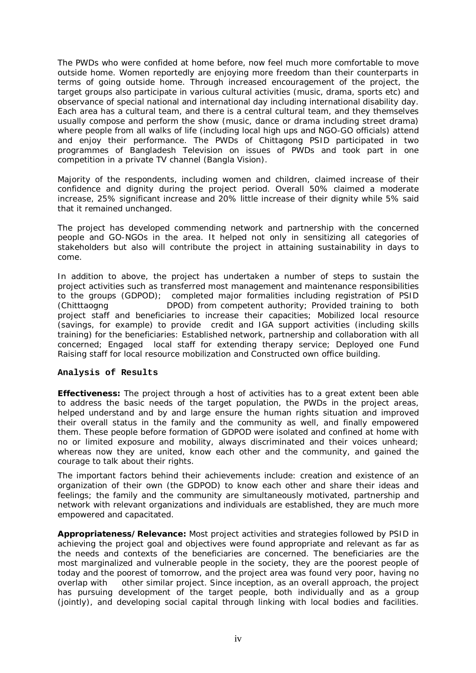The PWDs who were confided at home before, now feel much more comfortable to move outside home. Women reportedly are enjoying more freedom than their counterparts in terms of going outside home. Through increased encouragement of the project, the target groups also participate in various cultural activities (music, drama, sports etc) and observance of special national and international day including international disability day. Each area has a cultural team, and there is a central cultural team, and they themselves usually compose and perform the show (music, dance or drama including street drama) where people from all walks of life (including local high ups and NGO-GO officials) attend and enjoy their performance. The PWDs of Chittagong PSID participated in two programmes of Bangladesh Television on issues of PWDs and took part in one competition in a private TV channel (Bangla Vision).

Majority of the respondents, including women and children, claimed increase of their confidence and dignity during the project period. Overall 50% claimed a moderate increase, 25% significant increase and 20% little increase of their dignity while 5% said that it remained unchanged.

The project has developed commending network and partnership with the concerned people and GO-NGOs in the area. It helped not only in sensitizing all categories of stakeholders but also will contribute the project in attaining sustainability in days to come.

In addition to above, the project has undertaken a number of steps to sustain the project activities such as transferred most management and maintenance responsibilities to the groups (GDPOD); completed major formalities including registration of PSID (Chitttaogng DPOD) from competent authority; Provided training to both project staff and beneficiaries to increase their capacities; Mobilized local resource (savings, for example) to provide credit and IGA support activities (including skills training) for the beneficiaries: Established network, partnership and collaboration with all concerned; Engaged local staff for extending therapy service; Deployed one Fund Raising staff for local resource mobilization and Constructed own office building.

#### **Analysis of Results**

**Effectiveness:** The project through a host of activities has to a great extent been able to address the basic needs of the target population, the PWDs in the project areas, helped understand and by and large ensure the human rights situation and improved their overall status in the family and the community as well, and finally empowered them. These people before formation of GDPOD were isolated and confined at home with no or limited exposure and mobility, always discriminated and their voices unheard; whereas now they are united, know each other and the community, and gained the courage to talk about their rights.

The important factors behind their achievements include: creation and existence of an organization of their own (the GDPOD) to know each other and share their ideas and feelings; the family and the community are simultaneously motivated, partnership and network with relevant organizations and individuals are established, they are much more empowered and capacitated.

**Appropriateness/Relevance:** Most project activities and strategies followed by PSID in achieving the project goal and objectives were found appropriate and relevant as far as the needs and contexts of the beneficiaries are concerned. The beneficiaries are the most marginalized and vulnerable people in the society, they are the poorest people of today and the poorest of tomorrow, and the project area was found very poor, having no overlap with other similar project. Since inception, as an overall approach, the project has pursuing development of the target people, both individually and as a group (jointly), and developing social capital through linking with local bodies and facilities.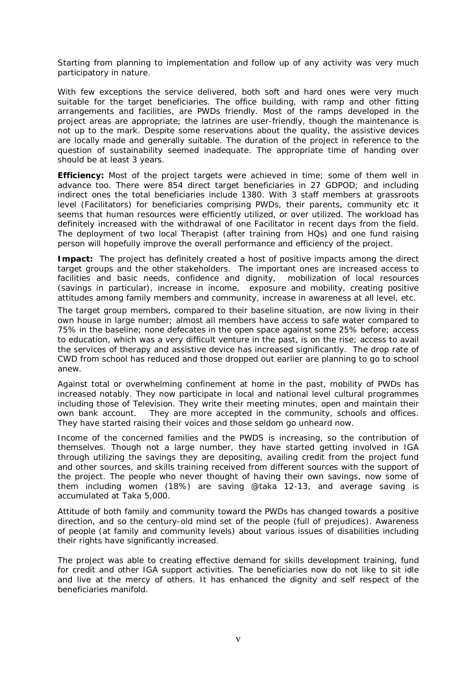Starting from planning to implementation and follow up of any activity was very much participatory in nature.

With few exceptions the service delivered, both soft and hard ones were very much suitable for the target beneficiaries. The office building, with ramp and other fitting arrangements and facilities, are PWDs friendly. Most of the ramps developed in the project areas are appropriate; the latrines are user-friendly, though the maintenance is not up to the mark. Despite some reservations about the quality, the assistive devices are locally made and generally suitable. The duration of the project in reference to the question of sustainability seemed inadequate. The appropriate time of handing over should be at least 3 years.

**Efficiency:** Most of the project targets were achieved in time; some of them well in advance too. There were 854 direct target beneficiaries in 27 GDPOD; and including indirect ones the total beneficiaries include 1380. With 3 staff members at grassroots level (Facilitators) for beneficiaries comprising PWDs, their parents, community etc it seems that human resources were efficiently utilized, or over utilized. The workload has definitely increased with the withdrawal of one Facilitator in recent days from the field. The deployment of two local Therapist (after training from HQs) and one fund raising person will hopefully improve the overall performance and efficiency of the project.

**Impact:** The project has definitely created a host of positive impacts among the direct target groups and the other stakeholders. The important ones are increased access to facilities and basic needs, confidence and dignity, mobilization of local resources (savings in particular), increase in income, exposure and mobility, creating positive attitudes among family members and community, increase in awareness at all level, etc.

The target group members, compared to their baseline situation, are now living in their own house in large number; almost all members have access to safe water compared to 75% in the baseline; none defecates in the open space against some 25% before; access to education, which was a very difficult venture in the past, is on the rise; access to avail the services of therapy and assistive device has increased significantly. The drop rate of CWD from school has reduced and those dropped out earlier are planning to go to school anew.

Against total or overwhelming confinement at home in the past, mobility of PWDs has increased notably. They now participate in local and national level cultural programmes including those of Television. They write their meeting minutes, open and maintain their own bank account. They are more accepted in the community, schools and offices. They have started raising their voices and those seldom go unheard now.

Income of the concerned families and the PWDS is increasing, so the contribution of themselves. Though not a large number, they have started getting involved in IGA through utilizing the savings they are depositing, availing credit from the project fund and other sources, and skills training received from different sources with the support of the project. The people who never thought of having their own savings, now some of them including women (18%) are saving @taka 12-13, and average saving is accumulated at Taka 5,000.

Attitude of both family and community toward the PWDs has changed towards a positive direction, and so the century-old mind set of the people (full of prejudices). Awareness of people (at family and community levels) about various issues of disabilities including their rights have significantly increased.

The project was able to creating effective demand for skills development training, fund for credit and other IGA support activities. The beneficiaries now do not like to sit idle and live at the mercy of others. It has enhanced the dignity and self respect of the beneficiaries manifold.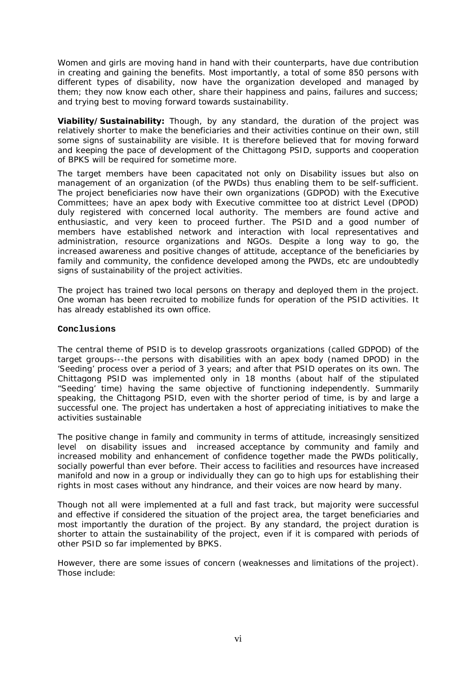Women and girls are moving hand in hand with their counterparts, have due contribution in creating and gaining the benefits. Most importantly, a total of some 850 persons with different types of disability, now have the organization developed and managed by them; they now know each other, share their happiness and pains, failures and success; and trying best to moving forward towards sustainability.

**Viability/Sustainability:** Though, by any standard, the duration of the project was relatively shorter to make the beneficiaries and their activities continue on their own, still some signs of sustainability are visible. It is therefore believed that for moving forward and keeping the pace of development of the Chittagong PSID, supports and cooperation of BPKS will be required for sometime more.

The target members have been capacitated not only on Disability issues but also on management of an organization (of the PWDs) thus enabling them to be self-sufficient. The project beneficiaries now have their own organizations (GDPOD) with the Executive Committees; have an apex body with Executive committee too at district Level (DPOD) duly registered with concerned local authority. The members are found active and enthusiastic, and very keen to proceed further. The PSID and a good number of members have established network and interaction with local representatives and administration, resource organizations and NGOs. Despite a long way to go, the increased awareness and positive changes of attitude, acceptance of the beneficiaries by family and community, the confidence developed among the PWDs, etc are undoubtedly signs of sustainability of the project activities.

The project has trained two local persons on therapy and deployed them in the project. One woman has been recruited to mobilize funds for operation of the PSID activities. It has already established its own office.

#### **Conclusions**

The central theme of PSID is to develop grassroots organizations (called GDPOD) of the target groups---the persons with disabilities with an apex body (named DPOD) in the 'Seeding' process over a period of 3 years; and after that PSID operates on its own. The Chittagong PSID was implemented only in 18 months (about half of the stipulated "Seeding' time) having the same objective of functioning independently. Summarily speaking, the Chittagong PSID, even with the shorter period of time, is by and large a successful one. The project has undertaken a host of appreciating initiatives to make the activities sustainable

The positive change in family and community in terms of attitude, increasingly sensitized level on disability issues and increased acceptance by community and family and increased mobility and enhancement of confidence together made the PWDs politically, socially powerful than ever before. Their access to facilities and resources have increased manifold and now in a group or individually they can go to high ups for establishing their rights in most cases without any hindrance, and their voices are now heard by many.

Though not all were implemented at a full and fast track, but majority were successful and effective if considered the situation of the project area, the target beneficiaries and most importantly the duration of the project. By any standard, the project duration is shorter to attain the sustainability of the project, even if it is compared with periods of other PSID so far implemented by BPKS.

However, there are some issues of concern (weaknesses and limitations of the project). Those include: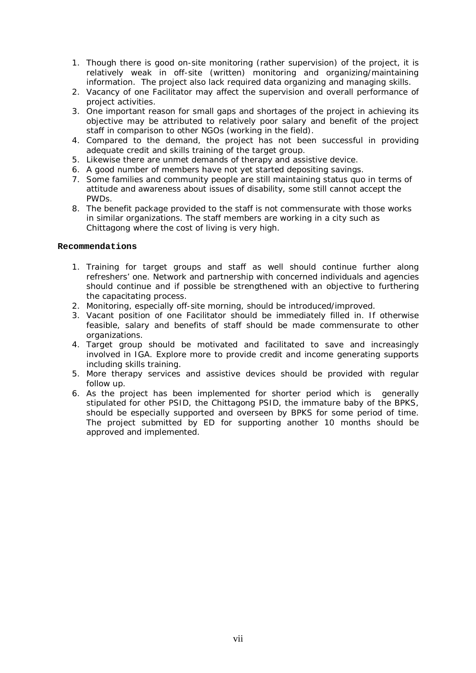- 1. Though there is good on-site monitoring (rather supervision) of the project, it is relatively weak in off-site (written) monitoring and organizing/maintaining information. The project also lack required data organizing and managing skills.
- 2. Vacancy of one Facilitator may affect the supervision and overall performance of project activities.
- 3. One important reason for small gaps and shortages of the project in achieving its objective may be attributed to relatively poor salary and benefit of the project staff in comparison to other NGOs (working in the field).
- 4. Compared to the demand, the project has not been successful in providing adequate credit and skills training of the target group.
- 5. Likewise there are unmet demands of therapy and assistive device.
- 6. A good number of members have not yet started depositing savings.
- 7. Some families and community people are still maintaining status quo in terms of attitude and awareness about issues of disability, some still cannot accept the PWDs.
- 8. The benefit package provided to the staff is not commensurate with those works in similar organizations. The staff members are working in a city such as Chittagong where the cost of living is very high.

#### **Recommendations**

- 1. Training for target groups and staff as well should continue further along refreshers' one. Network and partnership with concerned individuals and agencies should continue and if possible be strengthened with an objective to furthering the capacitating process.
- 2. Monitoring, especially off-site morning, should be introduced/improved.
- 3. Vacant position of one Facilitator should be immediately filled in. If otherwise feasible, salary and benefits of staff should be made commensurate to other organizations.
- 4. Target group should be motivated and facilitated to save and increasingly involved in IGA. Explore more to provide credit and income generating supports including skills training.
- 5. More therapy services and assistive devices should be provided with regular follow up.
- 6. As the project has been implemented for shorter period which is generally stipulated for other PSID, the Chittagong PSID, the immature baby of the BPKS, should be especially supported and overseen by BPKS for some period of time. The project submitted by ED for supporting another 10 months should be approved and implemented.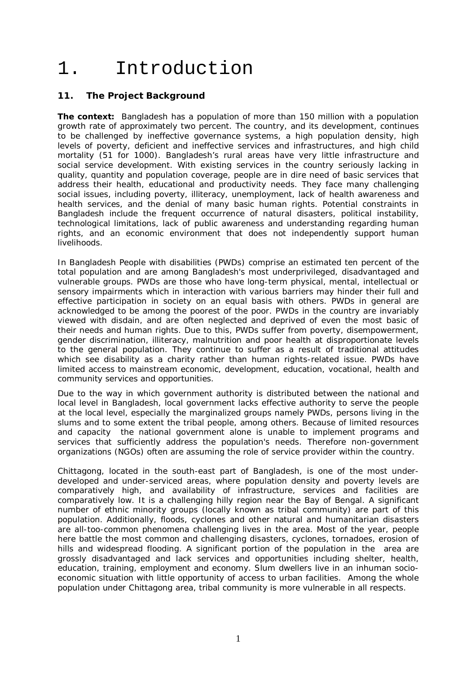# 1. Introduction

## **11. The Project Background**

**The context:** Bangladesh has a population of more than 150 million with a population growth rate of approximately two percent. The country, and its development, continues to be challenged by ineffective governance systems, a high population density, high levels of poverty, deficient and ineffective services and infrastructures, and high child mortality (51 for 1000). Bangladesh's rural areas have very little infrastructure and social service development. With existing services in the country seriously lacking in quality, quantity and population coverage, people are in dire need of basic services that address their health, educational and productivity needs. They face many challenging social issues, including poverty, illiteracy, unemployment, lack of health awareness and health services, and the denial of many basic human rights. Potential constraints in Bangladesh include the frequent occurrence of natural disasters, political instability, technological limitations, lack of public awareness and understanding regarding human rights, and an economic environment that does not independently support human livelihoods.

In Bangladesh People with disabilities (PWDs) comprise an estimated ten percent of the total population and are among Bangladesh's most underprivileged, disadvantaged and vulnerable groups. PWDs are those who have long-term physical, mental, intellectual or sensory impairments which in interaction with various barriers may hinder their full and effective participation in society on an equal basis with others. PWDs in general are acknowledged to be among the poorest of the poor. PWDs in the country are invariably viewed with disdain, and are often neglected and deprived of even the most basic of their needs and human rights. Due to this, PWDs suffer from poverty, disempowerment, gender discrimination, illiteracy, malnutrition and poor health at disproportionate levels to the general population. They continue to suffer as a result of traditional attitudes which see disability as a charity rather than human rights-related issue. PWDs have limited access to mainstream economic, development, education, vocational, health and community services and opportunities.

Due to the way in which government authority is distributed between the national and local level in Bangladesh, local government lacks effective authority to serve the people at the local level, especially the marginalized groups namely PWDs, persons living in the slums and to some extent the tribal people, among others. Because of limited resources and capacity the national government alone is unable to implement programs and services that sufficiently address the population's needs. Therefore non-government organizations (NGOs) often are assuming the role of service provider within the country.

Chittagong, located in the south-east part of Bangladesh, is one of the most underdeveloped and under-serviced areas, where population density and poverty levels are comparatively high, and availability of infrastructure, services and facilities are comparatively low. It is a challenging hilly region near the Bay of Bengal. A significant number of ethnic minority groups (locally known as tribal community) are part of this population. Additionally, floods, cyclones and other natural and humanitarian disasters are all-too-common phenomena challenging lives in the area. Most of the year, people here battle the most common and challenging disasters, cyclones, tornadoes, erosion of hills and widespread flooding. A significant portion of the population in the area are grossly disadvantaged and lack services and opportunities including shelter, health, education, training, employment and economy. Slum dwellers live in an inhuman socioeconomic situation with little opportunity of access to urban facilities. Among the whole population under Chittagong area, tribal community is more vulnerable in all respects.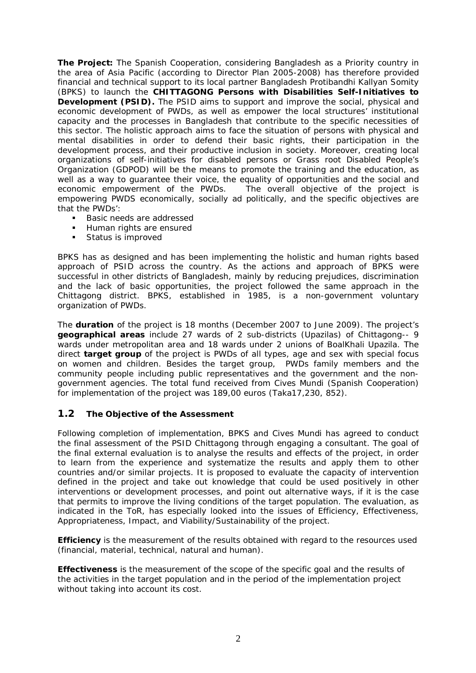**The Project:** The Spanish Cooperation, considering Bangladesh as a Priority country in the area of Asia Pacific (according to Director Plan 2005-2008) has therefore provided financial and technical support to its local partner Bangladesh Protibandhi Kallyan Somity (BPKS) to launch the **CHITTAGONG Persons with Disabilities Self-Initiatives to Development (PSID).** The PSID aims to support and improve the social, physical and economic development of PWDs, as well as empower the local structures' institutional capacity and the processes in Bangladesh that contribute to the specific necessities of this sector. The holistic approach aims to face the situation of persons with physical and mental disabilities in order to defend their basic rights, their participation in the development process, and their productive inclusion in society. Moreover, creating local organizations of self-initiatives for disabled persons or Grass root Disabled People's Organization (GDPOD) will be the means to promote the training and the education, as well as a way to guarantee their voice, the equality of opportunities and the social and economic empowerment of the PWDs. The overall objective of the project is The overall objective of the project is empowering PWDS economically, socially ad politically, and the specific objectives are that the PWDs':

- Basic needs are addressed
- Human rights are ensured
- **Status is improved**

BPKS has as designed and has been implementing the holistic and human rights based approach of PSID across the country. As the actions and approach of BPKS were successful in other districts of Bangladesh, mainly by reducing prejudices, discrimination and the lack of basic opportunities, the project followed the same approach in the Chittagong district. BPKS, established in 1985, is a non-government voluntary organization of PWDs.

The **duration** of the project is 18 months (December 2007 to June 2009). The project's **geographical areas** include 27 wards of 2 sub-districts (Upazilas) of Chittagong-- 9 wards under metropolitan area and 18 wards under 2 unions of BoalKhali Upazila. The direct **target group** of the project is PWDs of all types, age and sex with special focus on women and children. Besides the target group, PWDs family members and the community people including public representatives and the government and the nongovernment agencies. The total fund received from Cives Mundi (Spanish Cooperation) for implementation of the project was 189,00 euros (Taka17,230, 852).

## **1.2 The Objective of the Assessment**

Following completion of implementation, BPKS and Cives Mundi has agreed to conduct the final assessment of the PSID Chittagong through engaging a consultant. The goal of the final external evaluation is to analyse the results and effects of the project, in order to learn from the experience and systematize the results and apply them to other countries and/or similar projects. It is proposed to evaluate the capacity of intervention defined in the project and take out knowledge that could be used positively in other interventions or development processes, and point out alternative ways, if it is the case that permits to improve the living conditions of the target population. The evaluation, as indicated in the ToR, has especially looked into the issues of Efficiency, Effectiveness, Appropriateness, Impact, and Viability/Sustainability of the project.

*Efficiency* is the measurement of the results obtained with regard to the resources used (financial, material, technical, natural and human).

*Effectiveness* is the measurement of the scope of the specific goal and the results of the activities in the target population and in the period of the implementation project without taking into account its cost.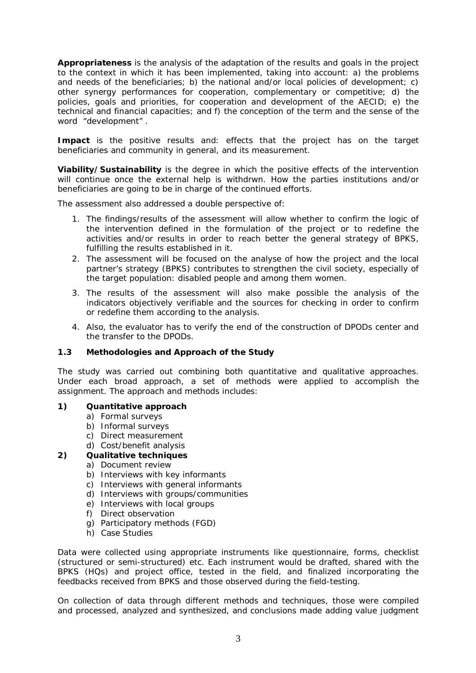*Appropriateness* is the analysis of the adaptation of the results and goals in the project to the context in which it has been implemented, taking into account: a) the problems and needs of the beneficiaries; b) the national and/or local policies of development; c) other synergy performances for cooperation, complementary or competitive; d) the policies, goals and priorities, for cooperation and development of the AECID; e) the technical and financial capacities; and f) the conception of the term and the sense of the word "development" .

*Impact* is the positive results and: effects that the project has on the target beneficiaries and community in general, and its measurement.

*Viability/Sustainability* is the degree in which the positive effects of the intervention will continue once the external help is withdrwn. How the parties institutions and/or beneficiaries are going to be in charge of the continued efforts.

The assessment also addressed a double perspective of:

- 1. The findings/results of the assessment will allow whether to confirm the logic of the intervention defined in the formulation of the project or to redefine the activities and/or results in order to reach better the general strategy of BPKS, fulfilling the results established in it.
- 2. The assessment will be focused on the analyse of how the project and the local partner's strategy (BPKS) contributes to strengthen the civil society, especially of the target population: disabled people and among them women.
- 3. The results of the assessment will also make possible the analysis of the indicators objectively verifiable and the sources for checking in order to confirm or redefine them according to the analysis.
- 4. Also, the evaluator has to verify the end of the construction of DPODs center and the transfer to the DPODs.

#### **1.3 Methodologies and Approach of the Study**

The study was carried out combining both quantitative and qualitative approaches. Under each broad approach, a set of methods were applied to accomplish the assignment. The approach and methods includes:

#### **1) Quantitative approach**

- a) Formal surveys
- b) Informal surveys
- c) Direct measurement
- d) Cost/benefit analysis

#### **2) Qualitative techniques**

- a) Document review
- b) Interviews with key informants
- c) Interviews with general informants
- d) Interviews with groups/communities
- e) Interviews with local groups
- f) Direct observation
- g) Participatory methods (FGD)
- h) Case Studies

Data were collected using appropriate instruments like questionnaire, forms, checklist (structured or semi-structured) etc. Each instrument would be drafted, shared with the BPKS (HQs) and project office, tested in the field, and finalized incorporating the feedbacks received from BPKS and those observed during the field-testing.

On collection of data through different methods and techniques, those were compiled and processed, analyzed and synthesized, and conclusions made adding value judgment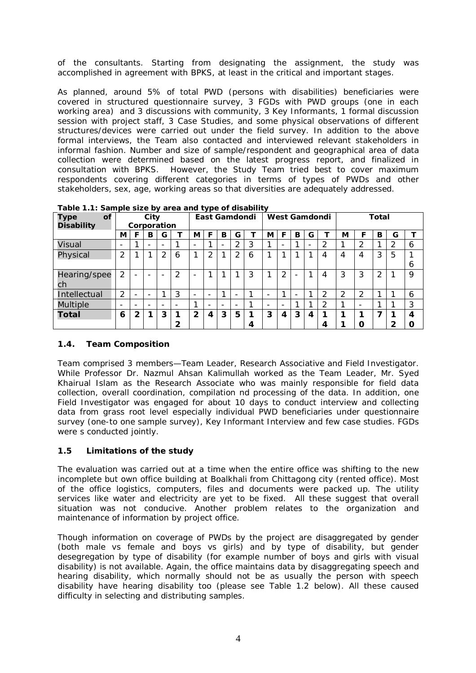of the consultants. Starting from designating the assignment, the study was accomplished in agreement with BPKS, at least in the critical and important stages.

As planned, around 5% of total PWD (persons with disabilities) beneficiaries were covered in structured questionnaire survey, 3 FGDs with PWD groups (one in each working area) and 3 discussions with community, 3 Key Informants, 1 formal discussion session with project staff, 3 Case Studies, and some physical observations of different structures/devices were carried out under the field survey. In addition to the above formal interviews, the Team also contacted and interviewed relevant stakeholders in informal fashion. Number and size of sample/respondent and geographical area of data collection were determined based on the latest progress report, and finalized in consultation with BPKS. However, the Study Team tried best to cover maximum respondents covering different categories in terms of types of PWDs and other stakeholders, sex, age, working areas so that diversities are adequately addressed.

| <b>Type</b><br><b>of</b><br><b>Disability</b> |                          | City<br>Corporation      |                          |                | East Gamdondi |                          |                          | West Gamdondi            |                          |   |                 | <b>Total</b>             |   |   |                |                |                          |   |                |   |
|-----------------------------------------------|--------------------------|--------------------------|--------------------------|----------------|---------------|--------------------------|--------------------------|--------------------------|--------------------------|---|-----------------|--------------------------|---|---|----------------|----------------|--------------------------|---|----------------|---|
|                                               | М                        |                          | B                        | G              |               | М                        | F                        | B                        | G                        | ┳ | М               | F                        | B | G |                | М              | F                        | в | G              |   |
| Visual                                        | $\overline{\phantom{a}}$ |                          | $\qquad \qquad$          | -              |               | $\overline{\phantom{a}}$ | ◢                        | $\overline{\phantom{0}}$ | ∍                        | 3 | ◢               | $\overline{\phantom{a}}$ |   |   | $\overline{2}$ |                | 2                        |   | $\overline{2}$ | 6 |
| Physical                                      | $\overline{2}$           |                          |                          | $\overline{2}$ | 6             | 4                        | ⌒                        | ◄                        | 2                        | 6 | ◀               |                          |   |   | 4              | 4              | 4                        | 3 | 5              |   |
|                                               |                          |                          |                          |                |               |                          |                          |                          |                          |   |                 |                          |   |   |                |                |                          |   |                | 6 |
| Hearing/spee                                  | 2                        |                          | -                        |                | 2             | $\overline{\phantom{a}}$ | ◢                        | 1                        | ◀                        | 3 | ◢               | $\overline{2}$           |   | ◄ | 4              | 3              | 3                        | 2 |                | 9 |
| ch                                            |                          |                          |                          |                |               |                          |                          |                          |                          |   |                 |                          |   |   |                |                |                          |   |                |   |
| Intellectual                                  | $\overline{2}$           | -                        | $\overline{\phantom{a}}$ |                | 3             | $\overline{\phantom{a}}$ | $\overline{\phantom{a}}$ | ◄                        |                          | ◢ |                 | ◢                        | - |   | っ              | $\overline{2}$ | 2                        |   |                | 6 |
| <b>Multiple</b>                               | $\overline{\phantom{0}}$ | $\overline{\phantom{0}}$ | $\overline{\phantom{0}}$ | -              |               | ◢                        | $\overline{\phantom{0}}$ | $\overline{\phantom{0}}$ | $\overline{\phantom{0}}$ | ◢ | $\qquad \qquad$ | $\overline{\phantom{a}}$ |   |   | $\overline{2}$ |                | $\overline{\phantom{a}}$ |   |                | 3 |
| <b>Total</b>                                  | 6                        | $\mathfrak{p}$           | 1                        | 3              |               | $\mathbf{2}$             | 4                        | 3                        | 5                        |   | 3               | 4                        | 3 | 4 | ◀              | 1              | 1                        |   |                | 4 |
|                                               |                          |                          |                          |                | ົ             |                          |                          |                          |                          | 4 |                 |                          |   |   | 4              |                | Ω                        |   | 2              | O |

**Table 1.1: Sample size by area and type of disability** 

## **1.4. Team Composition**

Team comprised 3 members—Team Leader, Research Associative and Field Investigator. While Professor Dr. Nazmul Ahsan Kalimullah worked as the Team Leader, Mr. Syed Khairual Islam as the Research Associate who was mainly responsible for field data collection, overall coordination, compilation nd processing of the data. In addition, one Field Investigator was engaged for about 10 days to conduct interview and collecting data from grass root level especially individual PWD beneficiaries under questionnaire survey (one-to one sample survey), Key Informant Interview and few case studies. FGDs were s conducted jointly.

## **1.5 Limitations of the study**

The evaluation was carried out at a time when the entire office was shifting to the new incomplete but own office building at Boalkhali from Chittagong city (rented office). Most of the office logistics, computers, files and documents were packed up. The utility services like water and electricity are yet to be fixed. All these suggest that overall situation was not conducive. Another problem relates to the organization and maintenance of information by project office.

Though information on coverage of PWDs by the project are disaggregated by gender (both male vs female and boys vs girls) and by type of disability, but gender desegregation by type of disability (for example number of boys and girls with visual disability) is not available. Again, the office maintains data by disaggregating speech and hearing disability, which normally should not be as usually the person with speech disability have hearing disability too (please see Table 1.2 below). All these caused difficulty in selecting and distributing samples.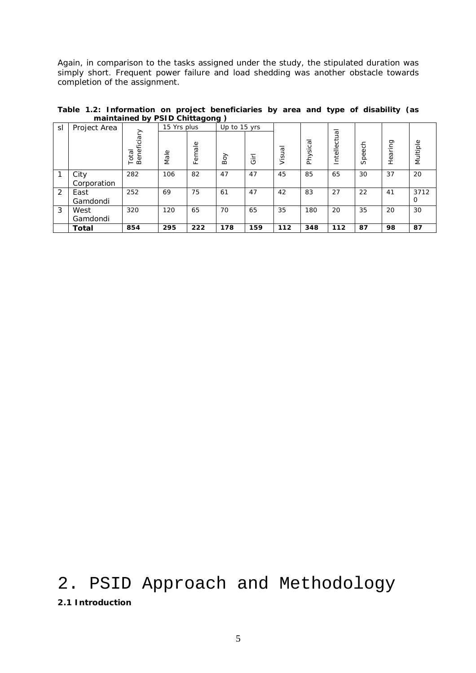Again, in comparison to the tasks assigned under the study, the stipulated duration was simply short. Frequent power failure and load shedding was another obstacle towards completion of the assignment.

|    | manntanica by i sib chittagong y |                      |             |        |              |        |        |          |              |            |         |                  |  |  |
|----|----------------------------------|----------------------|-------------|--------|--------------|--------|--------|----------|--------------|------------|---------|------------------|--|--|
| sl | Project Area                     |                      | 15 Yrs plus |        | Up to 15 yrs |        |        |          |              |            |         |                  |  |  |
|    |                                  | Beneficiary<br>Total | Male        | Female | Boy          | ے<br>ت | Visual | Physical | Intellectual | 동<br>Speed | Hearing | Multiple         |  |  |
| 1  | City<br>Corporation              | 282                  | 106         | 82     | 47           | 47     | 45     | 85       | 65           | 30         | 37      | 20               |  |  |
| 2  | East<br>Gamdondi                 | 252                  | 69          | 75     | 61           | 47     | 42     | 83       | 27           | 22         | 41      | 3712<br>$\Omega$ |  |  |
| 3  | West<br>Gamdondi                 | 320                  | 120         | 65     | 70           | 65     | 35     | 180      | 20           | 35         | 20      | 30               |  |  |
|    | Total                            | 854                  | 295         | 222    | 178          | 159    | 112    | 348      | 112          | 87         | 98      | 87               |  |  |

**Table 1.2: Information on project beneficiaries by area and type of disability (as maintained by PSID Chittagong )**

## 2. PSID Approach and Methodology **2.1 Introduction**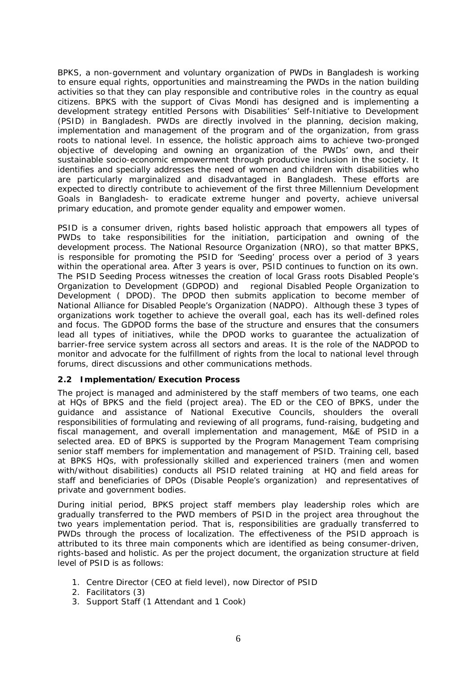BPKS, a non-government and voluntary organization of PWDs in Bangladesh is working to ensure equal rights, opportunities and mainstreaming the PWDs in the nation building activities so that they can play responsible and contributive roles in the country as equal citizens. BPKS with the support of Civas Mondi has designed and is implementing a development strategy entitled Persons with Disabilities' Self-Initiative to Development (PSID) in Bangladesh. PWDs are directly involved in the planning, decision making, implementation and management of the program and of the organization, from grass roots to national level. In essence, the holistic approach aims to achieve two-pronged objective of developing and owning an organization of the PWDs' own, and their sustainable socio-economic empowerment through productive inclusion in the society. It identifies and specially addresses the need of women and children with disabilities who are particularly marginalized and disadvantaged in Bangladesh. These efforts are expected to directly contribute to achievement of the first three Millennium Development Goals in Bangladesh- to eradicate extreme hunger and poverty, achieve universal primary education, and promote gender equality and empower women.

PSID is a consumer driven, rights based holistic approach that empowers all types of PWDs to take responsibilities for the initiation, participation and owning of the development process. The National Resource Organization (NRO), so that matter BPKS, is responsible for promoting the PSID for 'Seeding' process over a period of 3 years within the operational area. After 3 years is over, PSID continues to function on its own. The PSID Seeding Process witnesses the creation of local Grass roots Disabled People's Organization to Development (GDPOD) and regional Disabled People Organization to Development ( DPOD). The DPOD then submits application to become member of National Alliance for Disabled People's Organization (NADPO). Although these 3 types of organizations work together to achieve the overall goal, each has its well-defined roles and focus. The GDPOD forms the base of the structure and ensures that the consumers lead all types of initiatives, while the DPOD works to guarantee the actualization of barrier-free service system across all sectors and areas. It is the role of the NADPOD to monitor and advocate for the fulfillment of rights from the local to national level through forums, direct discussions and other communications methods.

#### **2.2 Implementation/Execution Process**

The project is managed and administered by the staff members of two teams, one each at HQs of BPKS and the field (project area). The ED or the CEO of BPKS, under the guidance and assistance of National Executive Councils, shoulders the overall responsibilities of formulating and reviewing of all programs, fund-raising, budgeting and fiscal management, and overall implementation and management, M&E of PSID in a selected area. ED of BPKS is supported by the Program Management Team comprising senior staff members for implementation and management of PSID. Training cell, based at BPKS HQs, with professionally skilled and experienced trainers (men and women with/without disabilities) conducts all PSID related training at HQ and field areas for staff and beneficiaries of DPOs (Disable People's organization) and representatives of private and government bodies.

During initial period, BPKS project staff members play leadership roles which are gradually transferred to the PWD members of PSID in the project area throughout the two years implementation period. That is, responsibilities are gradually transferred to PWDs through the process of localization. The effectiveness of the PSID approach is attributed to its three main components which are identified as being consumer-driven, rights-based and holistic. As per the project document, the organization structure at field level of PSID is as follows:

- 1. Centre Director (CEO at field level), now Director of PSID
- 2. Facilitators (3)
- 3. Support Staff (1 Attendant and 1 Cook)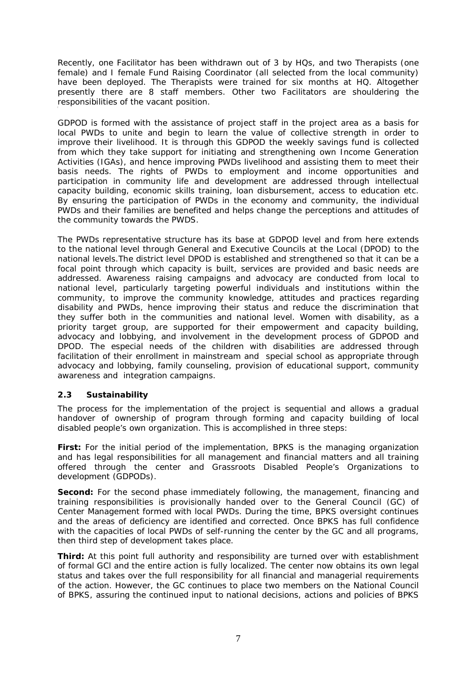Recently, one Facilitator has been withdrawn out of 3 by HQs, and two Therapists (one female) and I female Fund Raising Coordinator (all selected from the local community) have been deployed. The Therapists were trained for six months at HQ. Altogether presently there are 8 staff members. Other two Facilitators are shouldering the responsibilities of the vacant position. [

GDPOD is formed with the assistance of project staff in the project area as a basis for local PWDs to unite and begin to learn the value of collective strength in order to improve their livelihood. It is through this GDPOD the weekly savings fund is collected from which they take support for initiating and strengthening own Income Generation Activities (IGAs), and hence improving PWDs livelihood and assisting them to meet their basis needs. The rights of PWDs to employment and income opportunities and participation in community life and development are addressed through intellectual capacity building, economic skills training, loan disbursement, access to education etc. By ensuring the participation of PWDs in the economy and community, the individual PWDs and their families are benefited and helps change the perceptions and attitudes of the community towards the PWDS.

The PWDs representative structure has its base at GDPOD level and from here extends to the national level through General and Executive Councils at the Local (DPOD) to the national levels.The district level DPOD is established and strengthened so that it can be a focal point through which capacity is built, services are provided and basic needs are addressed. Awareness raising campaigns and advocacy are conducted from local to national level, particularly targeting powerful individuals and institutions within the community, to improve the community knowledge, attitudes and practices regarding disability and PWDs, hence improving their status and reduce the discrimination that they suffer both in the communities and national level. Women with disability, as a priority target group, are supported for their empowerment and capacity building, advocacy and lobbying, and involvement in the development process of GDPOD and DPOD. The especial needs of the children with disabilities are addressed through facilitation of their enrollment in mainstream and special school as appropriate through advocacy and lobbying, family counseling, provision of educational support, community awareness and integration campaigns.

## **2.3 Sustainability**

The process for the implementation of the project is sequential and allows a gradual handover of ownership of program through forming and capacity building of local disabled people's own organization. This is accomplished in three steps:

*First:* For the initial period of the implementation, BPKS is the managing organization and has legal responsibilities for all management and financial matters and all training offered through the center and Grassroots Disabled People's Organizations to development (GDPODs).

**Second:** For the second phase immediately following, the management, financing and training responsibilities is provisionally handed over to the General Council (GC) of Center Management formed with local PWDs. During the time, BPKS oversight continues and the areas of deficiency are identified and corrected. Once BPKS has full confidence with the capacities of local PWDs of self-running the center by the GC and all programs, then third step of development takes place.

**Third:** At this point full authority and responsibility are turned over with establishment of formal GCl and the entire action is fully localized. The center now obtains its own legal status and takes over the full responsibility for all financial and managerial requirements of the action. However, the GC continues to place two members on the National Council of BPKS, assuring the continued input to national decisions, actions and policies of BPKS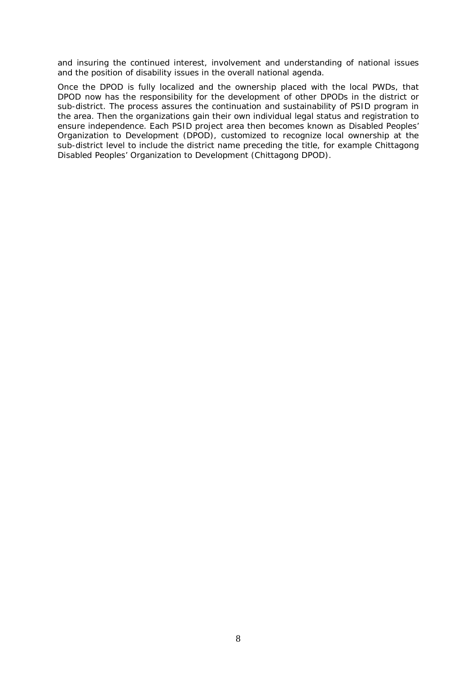and insuring the continued interest, involvement and understanding of national issues and the position of disability issues in the overall national agenda.

Once the DPOD is fully localized and the ownership placed with the local PWDs, that DPOD now has the responsibility for the development of other DPODs in the district or sub-district. The process assures the continuation and sustainability of PSID program in the area. Then the organizations gain their own individual legal status and registration to ensure independence. Each PSID project area then becomes known as Disabled Peoples' Organization to Development (DPOD), customized to recognize local ownership at the sub-district level to include the district name preceding the title, for example Chittagong Disabled Peoples' Organization to Development (Chittagong DPOD).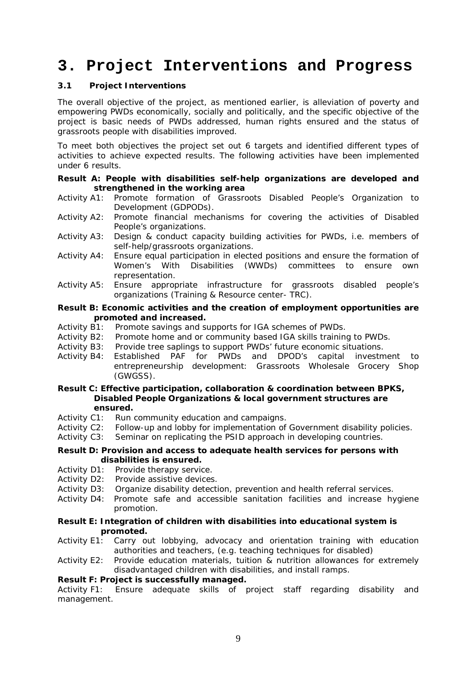## **3. Project Interventions and Progress**

#### **3.1 Project Interventions**

The overall objective of the project, as mentioned earlier, is alleviation of poverty and empowering PWDs economically, socially and politically, and the specific objective of the project is basic needs of PWDs addressed, human rights ensured and the status of grassroots people with disabilities improved.

To meet both objectives the project set out 6 targets and identified different types of activities to achieve expected results. The following activities have been implemented under 6 results.

**Result A: People with disabilities self-help organizations are developed and strengthened in the working area**

- Activity A1: Promote formation of Grassroots Disabled People's Organization to Development (GDPODs).
- Activity A2: Promote financial mechanisms for covering the activities of Disabled People's organizations.
- Activity A3: Design & conduct capacity building activities for PWDs, i.e. members of self-help/grassroots organizations.
- Activity A4: Ensure equal participation in elected positions and ensure the formation of Women's With Disabilities (WWDs) committees to ensure own representation.
- Activity A5: Ensure appropriate infrastructure for grassroots disabled people's organizations (Training & Resource center- TRC).

**Result B: Economic activities and the creation of employment opportunities are promoted and increased.**

- Activity B1: Promote savings and supports for IGA schemes of PWDs.
- Activity B2: Promote home and or community based IGA skills training to PWDs.
- Activity B3: Provide tree saplings to support PWDs' future economic situations.
- Activity B4: Established PAF for PWDs and DPOD's capital investment to entrepreneurship development: Grassroots Wholesale Grocery Shop (GWGSS).

**Result C: Effective participation, collaboration & coordination between BPKS, Disabled People Organizations & local government structures are ensured.**

- Activity C1: Run community education and campaigns.
- Activity C2: Follow-up and lobby for implementation of Government disability policies.
- Activity C3: Seminar on replicating the PSID approach in developing countries.

#### **Result D: Provision and access to adequate health services for persons with disabilities is ensured.**

- Activity D1: Provide therapy service.
- Activity D2: Provide assistive devices.
- Activity D3: Organize disability detection, prevention and health referral services.
- Activity D4: Promote safe and accessible sanitation facilities and increase hygiene promotion.
- **Result E: Integration of children with disabilities into educational system is promoted.**
- Activity E1: Carry out lobbying, advocacy and orientation training with education authorities and teachers, (e.g. teaching techniques for disabled)
- Activity E2: Provide education materials, tuition & nutrition allowances for extremely disadvantaged children with disabilities, and install ramps.

#### **Result F: Project is successfully managed.**

Activity F1: Ensure adequate skills of project staff regarding disability and management.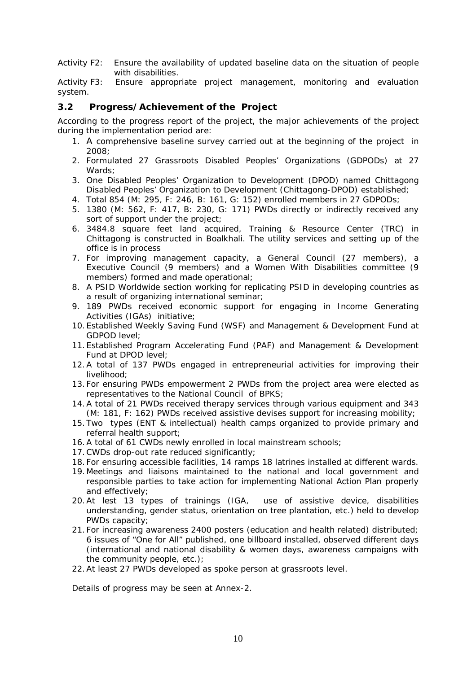Activity F2: Ensure the availability of updated baseline data on the situation of people with disabilities.

Activity F3: Ensure appropriate project management, monitoring and evaluation system.

#### **3.2 Progress/Achievement of the Project**

According to the progress report of the project, the major achievements of the project during the implementation period are:

- 1. A comprehensive baseline survey carried out at the beginning of the project in  $2008$
- 2. Formulated 27 Grassroots Disabled Peoples' Organizations (GDPODs) at 27 Wards;
- 3. One Disabled Peoples' Organization to Development (DPOD) named Chittagong Disabled Peoples' Organization to Development (Chittagong-DPOD) established;
- 4. Total 854 (M: 295, F: 246, B: 161, G: 152) enrolled members in 27 GDPODs;
- 5. 1380 (M: 562, F: 417, B: 230, G: 171) PWDs directly or indirectly received any sort of support under the project;
- 6. 3484.8 square feet land acquired, Training & Resource Center (TRC) in Chittagong is constructed in Boalkhali. The utility services and setting up of the office is in process
- 7. For improving management capacity, a General Council (27 members), a Executive Council (9 members) and a Women With Disabilities committee (9 members) formed and made operational;
- 8. A PSID Worldwide section working for replicating PSID in developing countries as a result of organizing international seminar;
- 9. 189 PWDs received economic support for engaging in Income Generating Activities (IGAs) initiative;
- 10.Established Weekly Saving Fund (WSF) and Management & Development Fund at GDPOD level;
- 11.Established Program Accelerating Fund (PAF) and Management & Development Fund at DPOD level;
- 12.A total of 137 PWDs engaged in entrepreneurial activities for improving their livelihood;
- 13.For ensuring PWDs empowerment 2 PWDs from the project area were elected as representatives to the National Council of BPKS;
- 14.A total of 21 PWDs received therapy services through various equipment and 343 (M: 181, F: 162) PWDs received assistive devises support for increasing mobility;
- 15.Two types (ENT & intellectual) health camps organized to provide primary and referral health support;
- 16.A total of 61 CWDs newly enrolled in local mainstream schools;
- 17.CWDs drop-out rate reduced significantly;
- 18.For ensuring accessible facilities, 14 ramps 18 latrines installed at different wards.
- 19.Meetings and liaisons maintained to the national and local government and responsible parties to take action for implementing National Action Plan properly and effectively;
- 20.At lest 13 types of trainings (IGA, use of assistive device, disabilities understanding, gender status, orientation on tree plantation, etc.) held to develop PWDs capacity;
- 21.For increasing awareness 2400 posters (education and health related) distributed; 6 issues of "One for All" published, one billboard installed, observed different days (international and national disability & women days, awareness campaigns with the community people, etc.);
- 22.At least 27 PWDs developed as spoke person at grassroots level.

Details of progress may be seen at Annex-2.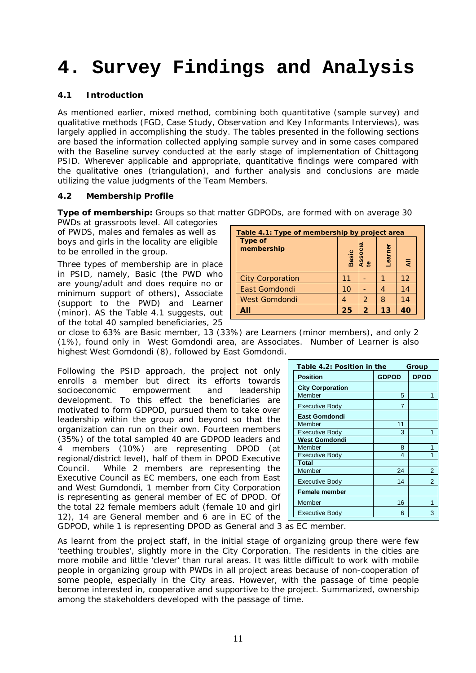# **4. Survey Findings and Analysis**

#### **4.1 Introduction**

As mentioned earlier, mixed method, combining both quantitative (sample survey) and qualitative methods (FGD, Case Study, Observation and Key Informants Interviews), was largely applied in accomplishing the study. The tables presented in the following sections are based the information collected applying sample survey and in some cases compared with the Baseline survey conducted at the early stage of implementation of Chittagong PSID. Wherever applicable and appropriate, quantitative findings were compared with the qualitative ones (triangulation), and further analysis and conclusions are made utilizing the value judgments of the Team Members.

#### **4.2 Membership Profile**

**Type of membership:** Groups so that matter GDPODs, are formed with on average 30

PWDs at grassroots level. All categories of PWDS, males and females as well as boys and girls in the locality are eligible to be enrolled in the group.

Three types of membership are in place in PSID, namely, Basic (the PWD who are young/adult and does require no or minimum support of others), Associate (support to the PWD) and Learner (minor). AS the Table 4.1 suggests, out of the total 40 sampled beneficiaries, 25

| Table 4.1: Type of membership by project area |              |                |        |    |  |  |  |  |  |  |
|-----------------------------------------------|--------------|----------------|--------|----|--|--|--|--|--|--|
| Type of<br>membership                         | <b>Basic</b> | ഇ              | earner | ₹  |  |  |  |  |  |  |
| <b>City Corporation</b>                       | 11           |                |        | 12 |  |  |  |  |  |  |
| <b>East Gomdondi</b>                          | 10           |                | 4      | 14 |  |  |  |  |  |  |
| <b>West Gomdondi</b>                          |              | 2              | 8      | 14 |  |  |  |  |  |  |
|                                               | 25           | $\overline{2}$ | 13     |    |  |  |  |  |  |  |

or close to 63% are Basic member, 13 (33%) are Learners (minor members), and only 2 (1%), found only in West Gomdondi area, are Associates. Number of Learner is also highest West Gomdondi (8), followed by East Gomdondi.

Following the PSID approach, the project not only enrolls a member but direct its efforts towards socioeconomic empowerment and leadership development. To this effect the beneficiaries are motivated to form GDPOD, pursued them to take over leadership within the group and beyond so that the organization can run on their own. Fourteen members (35%) of the total sampled 40 are GDPOD leaders and 4 members (10%) are representing DPOD (at regional/district level), half of them in DPOD Executive Council. While 2 members are representing the Executive Council as EC members, one each from East and West Gumdondi, 1 member from City Corporation is representing as general member of EC of DPOD. Of the total 22 female members adult (female 10 and girl 12), 14 are General member and 6 are in EC of the

| Table 4.2: Position in the<br>Group |                |                |  |  |  |  |  |
|-------------------------------------|----------------|----------------|--|--|--|--|--|
| <b>Position</b>                     | <b>GDPOD</b>   | <b>DPOD</b>    |  |  |  |  |  |
| <b>City Corporation</b>             |                |                |  |  |  |  |  |
| Member                              | 5              |                |  |  |  |  |  |
| <b>Executive Body</b>               | $\overline{7}$ |                |  |  |  |  |  |
| <b>East Gomdondi</b>                |                |                |  |  |  |  |  |
| Member                              | 11             |                |  |  |  |  |  |
| <b>Executive Body</b>               | 3              | 1              |  |  |  |  |  |
| <b>West Gomdondi</b>                |                |                |  |  |  |  |  |
| Member                              | 8              | 1              |  |  |  |  |  |
| <b>Executive Body</b>               | 4              |                |  |  |  |  |  |
| Total                               |                |                |  |  |  |  |  |
| Member                              | 24             | $\overline{2}$ |  |  |  |  |  |
| <b>Executive Body</b>               | 14             | $\overline{2}$ |  |  |  |  |  |
| <b>Female member</b>                |                |                |  |  |  |  |  |
| Member                              | 16             |                |  |  |  |  |  |
| <b>Executive Body</b>               | 6              | 3              |  |  |  |  |  |

GDPOD, while 1 is representing DPOD as General and 3 as EC member.

As learnt from the project staff, in the initial stage of organizing group there were few 'teething troubles', slightly more in the City Corporation. The residents in the cities are more mobile and little 'clever' than rural areas. It was little difficult to work with mobile people in organizing group with PWDs in all project areas because of non-cooperation of some people, especially in the City areas. However, with the passage of time people become interested in, cooperative and supportive to the project. Summarized, ownership among the stakeholders developed with the passage of time.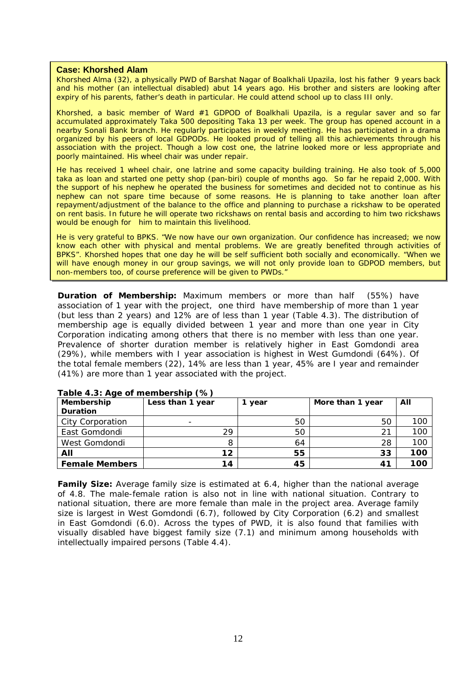#### **Case: Khorshed Alam**

Khorshed Alma (32), a physically PWD of Barshat Nagar of Boalkhali Upazila, lost his father 9 years back and his mother (an intellectual disabled) abut 14 years ago. His brother and sisters are looking after expiry of his parents, father's death in particular. He could attend school up to class III only.

Khorshed, a basic member of Ward #1 GDPOD of Boalkhali Upazila, is a regular saver and so far accumulated approximately Taka 500 depositing Taka 13 per week. The group has opened account in a nearby Sonali Bank branch. He regularly participates in weekly meeting. He has participated in a drama organized by his peers of local GDPODs. He looked proud of telling all this achievements through his association with the project. Though a low cost one, the latrine looked more or less appropriate and poorly maintained. His wheel chair was under repair.

He has received 1 wheel chair, one latrine and some capacity building training. He also took of 5,000 taka as loan and started one petty shop (pan-biri) couple of months ago. So far he repaid 2,000. With the support of his nephew he operated the business for sometimes and decided not to continue as his nephew can not spare time because of some reasons. He is planning to take another loan after repayment/adjustment of the balance to the office and planning to purchase a rickshaw to be operated on rent basis. In future he will operate two rickshaws on rental basis and according to him two rickshaws would be enough for him to maintain this livelihood.

He is very grateful to BPKS. "We now have our own organization. Our confidence has increased; we now know each other with physical and mental problems. We are greatly benefited through activities of BPKS". Khorshed hopes that one day he will be self sufficient both socially and economically. "When we will have enough money in our group savings, we will not only provide loan to GDPOD members, but non-members too, of course preference will be given to PWDs."

**Duration of Membership:** Maximum members or more than half (55%) have association of 1 year with the project, one third have membership of more than 1 year (but less than 2 years) and 12% are of less than 1 year (Table 4.3). The distribution of membership age is equally divided between 1 year and more than one year in City Corporation indicating among others that there is no member with less than one year. Prevalence of shorter duration member is relatively higher in East Gomdondi area (29%), while members with I year association is highest in West Gumdondi (64%). Of the total female members (22), 14% are less than 1 year, 45% are I year and remainder (41%) are more than 1 year associated with the project.

| Membership            | Less than 1 year         | year | More than 1 year | All |
|-----------------------|--------------------------|------|------------------|-----|
| <b>Duration</b>       |                          |      |                  |     |
| City Corporation      | $\overline{\phantom{0}}$ | 50   | 50               | 100 |
| East Gomdondi         | 29                       | 50   | 21               | 100 |
| West Gomdondi         | 8                        | 64   | 28               | 100 |
| All                   | 12                       | 55   | 33               | 100 |
| <b>Female Members</b> | 14                       | 45   | 41               | 100 |

#### **Table 4.3: Age of membership (%)**

**Family Size:** Average family size is estimated at 6.4, higher than the national average of 4.8. The male-female ration is also not in line with national situation. Contrary to national situation, there are more female than male in the project area. Average family size is largest in West Gomdondi (6.7), followed by City Corporation (6.2) and smallest in East Gomdondi (6.0). Across the types of PWD, it is also found that families with visually disabled have biggest family size (7.1) and minimum among households with intellectually impaired persons (Table 4.4).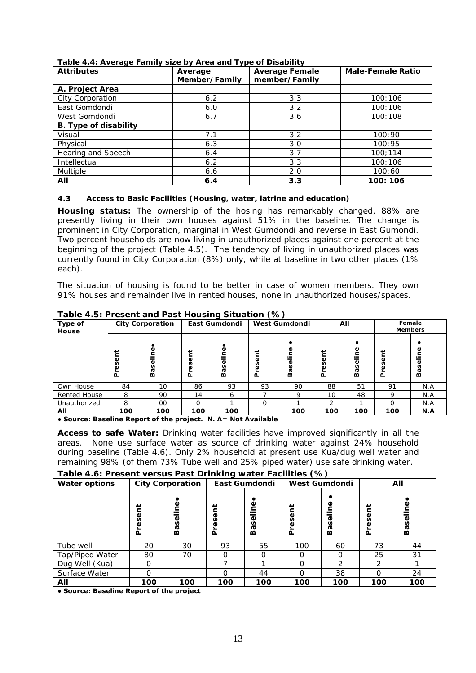| <b>Attributes</b>            | Average<br>Member/Family | <b>Average Female</b><br>member/Family | <b>Male-Female Ratio</b> |  |  |
|------------------------------|--------------------------|----------------------------------------|--------------------------|--|--|
| A. Project Area              |                          |                                        |                          |  |  |
| City Corporation             | 6.2                      | 3.3                                    | 100:106                  |  |  |
| East Gomdondi                | 6.0                      | 3.2                                    | 100:106                  |  |  |
| West Gomdondi                | 6.7                      | 3.6                                    | 100:108                  |  |  |
| <b>B.</b> Type of disability |                          |                                        |                          |  |  |
| Visual                       | 7.1                      | 3.2                                    | 100:90                   |  |  |
| Physical                     | 6.3                      | 3.0                                    | 100:95                   |  |  |
| Hearing and Speech           | 6.4                      | 3.7                                    | 100:114                  |  |  |
| Intellectual                 | 6.2                      | 3.3                                    | 100:106                  |  |  |
| <b>Multiple</b>              | 6.6                      | 2.0                                    | 100:60                   |  |  |
| AII                          | 6.4                      | 3.3                                    | 100: 106                 |  |  |

**Table 4.4: Average Family size by Area and Type of Disability** 

## **4.3 Access to Basic Facilities (Housing, water, latrine and education)**

**Housing status:** The ownership of the hosing has remarkably changed, 88% are presently living in their own houses against 51% in the baseline. The change is prominent in City Corporation, marginal in West Gumdondi and reverse in East Gumondi. Two percent households are now living in unauthorized places against one percent at the beginning of the project (Table 4.5). The tendency of living in unauthorized places was currently found in City Corporation (8%) only, while at baseline in two other places (1% each).

The situation of housing is found to be better in case of women members. They own 91% houses and remainder live in rented houses, none in unauthorized houses/spaces.

| Type of<br>House |             | <b>City Corporation</b> |              | East Gumdondi           |                  | West Gumdondi          | All |        | Female<br><b>Members</b> |                |  |
|------------------|-------------|-------------------------|--------------|-------------------------|------------------|------------------------|-----|--------|--------------------------|----------------|--|
|                  | Ξ<br>Š<br>σ | ω<br>Ф<br>n<br>ᡕᢐ<br>m  | E<br>ës<br>ᅕ | Φ<br>.드<br><b>Basel</b> | ⊭<br>ō<br>Š<br>Ā | ω<br>ω<br>n<br>ᠭᡆ<br>m |     | Φ<br>m | ā<br>Š<br>ءَ             | Φ<br>\$e<br>Bä |  |
| Own House        | 84          | 10                      | 86           | 93                      | 93               | 90                     | 88  | 51     | 91                       | N.A            |  |
| Rented House     | 8           | 90                      | 14           | 6                       |                  | 9                      | 10  | 48     | Q                        | N.A            |  |
| Unauthorized     | 8           | $00 \,$                 | $\Omega$     |                         | O                |                        | っ   |        | ∩                        | N.A            |  |
| All              | 100         | 100                     | 100          | 100                     |                  | 100                    | 100 | 100    | 100                      | N.A            |  |

**Table 4.5: Present and Past Housing Situation (%)**

**● Source: Baseline Report of the project. N. A= Not Available**

**Access to safe Water:** Drinking water facilities have improved significantly in all the areas. None use surface water as source of drinking water against 24% household during baseline (Table 4.6). Only 2% household at present use Kua/dug well water and remaining 98% (of them 73% Tube well and 25% piped water) use safe drinking water.

## **Table 4.6: Present versus Past Drinking water Facilities (%)**

| Table 4.0. I Teschi versus Fast Drimming water Facilities (707<br><b>Water options</b> |                             | <b>City Corporation</b> |        | East Gumdondi      |                      | <b>West Gumdondi</b> |        | All          |
|----------------------------------------------------------------------------------------|-----------------------------|-------------------------|--------|--------------------|----------------------|----------------------|--------|--------------|
|                                                                                        | Ĕ<br>$\bar{\Phi}$<br>Š<br>ه | Baseline                | Ĕ<br>≏ | Φ<br>n<br>ᠭᠣ<br>മ് | ent<br>Š<br>$\Delta$ | Je<br><b>Basel</b>   | Ë<br>൨ | ٥<br>n<br>దొ |
| Tube well                                                                              | 20                          | 30                      | 93     | 55                 | 100                  | 60                   | 73     | 44           |
| Tap/Piped Water                                                                        | 80                          | 70                      |        |                    | O                    | $\Omega$             | 25     | 31           |
| Dug Well (Kua)                                                                         | O                           |                         |        |                    | $\Omega$             | $\mathcal{P}$        | ⌒      |              |
| Surface Water                                                                          | O                           |                         |        | 44                 | ∩                    | 38                   |        | 24           |
| All                                                                                    | 100                         | 100                     | 100    | 100                | 100                  | 100                  | 100    | 100          |

**● Source: Baseline Report of the project**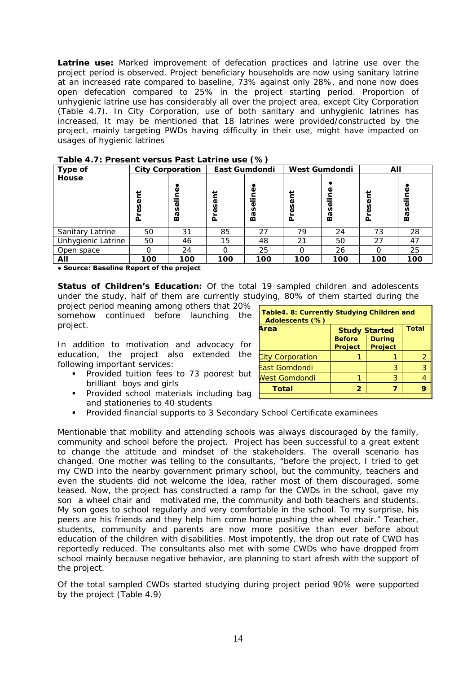**Latrine use:** Marked improvement of defecation practices and latrine use over the project period is observed. Project beneficiary households are now using sanitary latrine at an increased rate compared to baseline, 73% against only 28%, and none now does open defecation compared to 25% in the project starting period. Proportion of unhygienic latrine use has considerably all over the project area, except City Corporation (Table 4.7). In City Corporation, use of both sanitary and unhygienic latrines has increased. It may be mentioned that 18 latrines were provided/constructed by the project, mainly targeting PWDs having difficulty in their use, might have impacted on usages of hygienic latrines

| Type of            | <b>City Corporation</b> |       |        | East Gumdondi | West Gumdondi |        | All  |         |  |
|--------------------|-------------------------|-------|--------|---------------|---------------|--------|------|---------|--|
| House              |                         |       |        |               |               |        |      |         |  |
|                    |                         | Φ     |        | ω             | پ             | Φ      | پ    | Φ       |  |
|                    | ⊭<br>$\bar{\mathbb{Q}}$ |       | Φ      |               | ω             |        |      |         |  |
|                    | ΘŚ                      |       | n<br>Φ | Φ<br>n        | n             | Baseli | eser | Baselin |  |
|                    | ō                       | Basel | Δ      | ᢐ<br>m        | ௳             |        | ءَ   |         |  |
| Sanitary Latrine   | 50                      | 31    | 85     | 27            | 79            | 24     | 73   | 28      |  |
| Unhygienic Latrine | 50                      | 46    | 15     | 48            | 21            | 50     | 27   | 47      |  |
| Open space         | Ω                       | 24    |        | 25            |               | 26     | Ω    | 25      |  |
| All                | 100                     | 100   | 100    | 100           | 100           | 100    | 100  | 100     |  |

**Table 4.7: Present versus Past Latrine use (%)** 

**● Source: Baseline Report of the project** 

**Status of Children's Education:** Of the total 19 sampled children and adolescents under the study, half of them are currently studying, 80% of them started during the

project period meaning among others that 20% somehow continued before launching the project.

In addition to motivation and advocacy for education, the project also extended the following important services:

- **Provided tuition fees to 73 poorest but** brilliant boys and girls
- **Provided school materials including bage** and stationeries to 40 students

| Table4. 8: Currently Studying Children and<br>Adolescents (%)      |                                      |   |   |  |  |  |  |  |  |  |
|--------------------------------------------------------------------|--------------------------------------|---|---|--|--|--|--|--|--|--|
| Area                                                               | <b>Total</b><br><b>Study Started</b> |   |   |  |  |  |  |  |  |  |
| <b>During</b><br><b>Before</b><br><b>Project</b><br><b>Project</b> |                                      |   |   |  |  |  |  |  |  |  |
| <b>City Corporation</b>                                            |                                      |   |   |  |  |  |  |  |  |  |
| East Gomdondi                                                      |                                      | З | 3 |  |  |  |  |  |  |  |
| West Gomdondi                                                      |                                      | 3 |   |  |  |  |  |  |  |  |
| <b>Total</b><br>$\overline{2}$                                     |                                      |   |   |  |  |  |  |  |  |  |
|                                                                    |                                      |   |   |  |  |  |  |  |  |  |

Provided financial supports to 3 Secondary School Certificate examinees

Mentionable that mobility and attending schools was always discouraged by the family, community and school before the project. Project has been successful to a great extent to change the attitude and mindset of the stakeholders. The overall scenario has changed. One mother was telling to the consultants, "before the project, I tried to get my CWD into the nearby government primary school, but the community, teachers and even the students did not welcome the idea, rather most of them discouraged, some teased. Now, the project has constructed a ramp for the CWDs in the school, gave my son a wheel chair and motivated me, the community and both teachers and students. My son goes to school regularly and very comfortable in the school. To my surprise, his peers are his friends and they help him come home pushing the wheel chair." Teacher, students, community and parents are now more positive than ever before about education of the children with disabilities. Most impotently, the drop out rate of CWD has reportedly reduced. The consultants also met with some CWDs who have dropped from school mainly because negative behavior, are planning to start afresh with the support of the project.

Of the total sampled CWDs started studying during project period 90% were supported by the project (Table 4.9)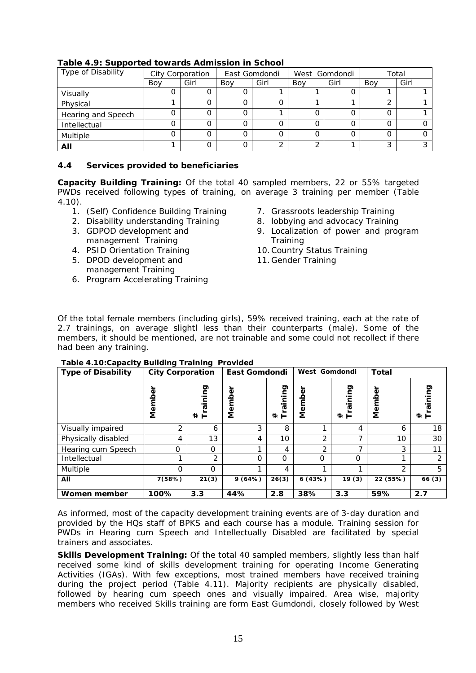| Type of Disability | City Corporation |      |     | East Gomdondi | West Gomdondi |      | Total |      |  |
|--------------------|------------------|------|-----|---------------|---------------|------|-------|------|--|
|                    | Boy              | Girl | Boy | Girl          | Bov           | Girl | Boy   | Girl |  |
| Visually           |                  |      |     |               |               |      |       |      |  |
| Physical           |                  |      |     |               |               |      |       |      |  |
| Hearing and Speech |                  |      |     |               |               |      |       |      |  |
| Intellectual       |                  |      |     |               |               |      |       |      |  |
| Multiple           |                  |      |     |               |               |      |       |      |  |
| All                |                  |      |     |               |               |      | ⌒     |      |  |

#### **Table 4.9: Supported towards Admission in School**

#### **4.4 Services provided to beneficiaries**

**Capacity Building Training:** Of the total 40 sampled members, 22 or 55% targeted PWDs received following types of training, on average 3 training per member (Table 4.10).

- 1. (Self) Confidence Building Training
- 2. Disability understanding Training 3. GDPOD development and
- management Training 4. PSID Orientation Training
- 5. DPOD development and
- management Training
- 6. Program Accelerating Training
- 7. Grassroots leadership Training
- 8. lobbying and advocacy Training
- 9. Localization of power and program **Training**
- 10.Country Status Training
- 11.Gender Training

Of the total female members (including girls), 59% received training, each at the rate of 2.7 trainings, on average slightl less than their counterparts (male). Some of the members, it should be mentioned, are not trainable and some could not recollect if there had been any training.

| <b>Type of Disability</b> | <b>City Corporation</b> |                                 | East Gomdondi |                  | West Gomdondi    |                 | <b>Total</b>   |                |
|---------------------------|-------------------------|---------------------------------|---------------|------------------|------------------|-----------------|----------------|----------------|
|                           | Membe                   | gninis<br>$^{\ast}$<br>$\vdash$ | Membe         | aining<br>$\ast$ | Φ<br>ě<br>E<br>Ž | puinia<br>$*$ F | Φ<br>ι<br>Σ    | င္ငွာ<br># F   |
| Visually impaired         | 2                       | 6                               | 3             | 8                |                  | 4               | 6              | 18             |
| Physically disabled       | 4                       | 13                              | 4             | 10               | 2                | ⇁               | 10             | 30             |
| Hearing cum Speech        | O                       | $\Omega$                        |               | 4                | $\mathcal{P}$    | 7               | 3              | 11             |
| Intellectual              |                         | 2                               | $\Omega$      | 0                | $\Omega$         | $\Omega$        | ◢              | $\overline{2}$ |
| Multiple                  | O                       | $\Omega$                        |               | 4                | ⅎ                | ⅎ               | $\overline{2}$ | 5              |
| All                       | 7(58%)                  | 21(3)                           | 9(64%)        | 26(3)            | 6(43%)           | 19(3)           | 22 (55%)       | 66(3)          |
| Women member              | 100%                    | 3.3                             | 44%           | 2.8              | 38%              | 3.3             | 59%            | 2.7            |

#### **Table 4.10:Capacity Building Training Provided**

As informed, most of the capacity development training events are of 3-day duration and provided by the HQs staff of BPKS and each course has a module. Training session for PWDs in Hearing cum Speech and Intellectually Disabled are facilitated by special trainers and associates.

**Skills Development Training:** Of the total 40 sampled members, slightly less than half received some kind of skills development training for operating Income Generating Activities (IGAs). With few exceptions, most trained members have received training during the project period (Table 4.11). Majority recipients are physically disabled, followed by hearing cum speech ones and visually impaired. Area wise, majority members who received Skills training are form East Gumdondi, closely followed by West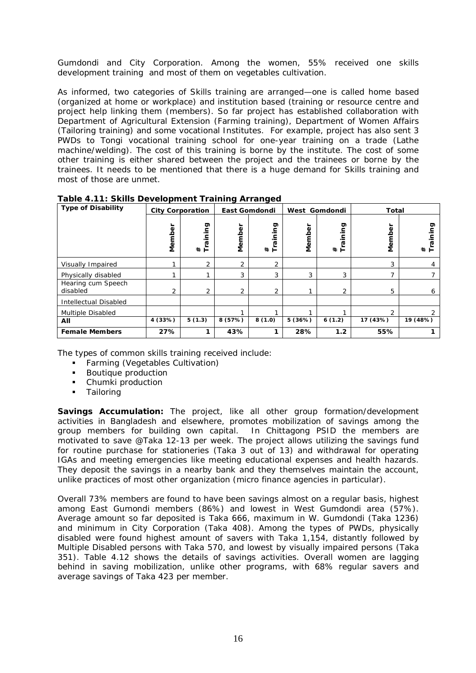Gumdondi and City Corporation. Among the women, 55% received one skills development training and most of them on vegetables cultivation.

As informed, two categories of Skills training are arranged—one is called home based (organized at home or workplace) and institution based (training or resource centre and project help linking them (members). So far project has established collaboration with Department of Agricultural Extension (Farming training), Department of Women Affairs (Tailoring training) and some vocational Institutes. For example, project has also sent 3 PWDs to Tongi vocational training school for one-year training on a trade (Lathe machine/welding). The cost of this training is borne by the institute. The cost of some other training is either shared between the project and the trainees or borne by the trainees. It needs to be mentioned that there is a huge demand for Skills training and most of those are unmet.

| <b>Type of Disability</b>      | <b>City Corporation</b> |                      | East Gomdondi |                |        | West Gomdondi        | <b>Total</b>  |                    |
|--------------------------------|-------------------------|----------------------|---------------|----------------|--------|----------------------|---------------|--------------------|
|                                | Member                  | gui<br>aini<br>$*$ F | Member        | #<br>Training  | Member | pai<br>aini<br>$*$ F | Membe         | gq.<br>aini<br># F |
| Visually Impaired              |                         | $\overline{2}$       | 2             | 2              |        |                      | 3             | 4                  |
| Physically disabled            |                         |                      | 3             | 3              | 3      | 3                    |               |                    |
| Hearing cum Speech<br>disabled | 2                       | $\overline{2}$       | 2             | $\overline{2}$ |        | 2                    | 5             | 6                  |
| Intellectual Disabled          |                         |                      |               |                |        |                      |               |                    |
| Multiple Disabled              |                         |                      |               |                |        |                      | $\mathcal{P}$ | $\mathcal{D}$      |
| All                            | 4 (33%)                 | 5(1.3)               | 8(57%)        | 8(1.0)         | 5(36%) | 6(1.2)               | 17 (43%)      | 19 (48%)           |
| <b>Female Members</b>          | 27%                     |                      | 43%           | 1              | 28%    | 1.2                  | 55%           |                    |

**Table 4.11: Skills Development Training Arranged** 

The types of common skills training received include:

- **Farming (Vegetables Cultivation)**
- Boutique production
- Chumki production
- **Tailoring**

**Savings Accumulation:** The project, like all other group formation/development activities in Bangladesh and elsewhere, promotes mobilization of savings among the group members for building own capital. In Chittagong PSID the members are motivated to save @Taka 12-13 per week. The project allows utilizing the savings fund for routine purchase for stationeries (Taka 3 out of 13) and withdrawal for operating IGAs and meeting emergencies like meeting educational expenses and health hazards. They deposit the savings in a nearby bank and they themselves maintain the account, unlike practices of most other organization (micro finance agencies in particular).

Overall 73% members are found to have been savings almost on a regular basis, highest among East Gumondi members (86%) and lowest in West Gumdondi area (57%). Average amount so far deposited is Taka 666, maximum in W. Gumdondi (Taka 1236) and minimum in City Corporation (Taka 408). Among the types of PWDs, physically disabled were found highest amount of savers with Taka 1,154, distantly followed by Multiple Disabled persons with Taka 570, and lowest by visually impaired persons (Taka 351). Table 4.12 shows the details of savings activities. Overall women are lagging behind in saving mobilization, unlike other programs, with 68% regular savers and average savings of Taka 423 per member.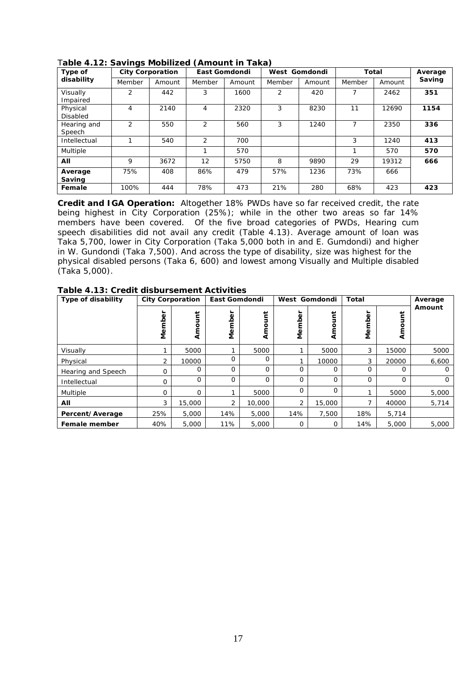| $\frac{1}{2}$ cassing<br>Type of | <b>City Corporation</b> |        | East Gomdondi |        | West Gomdondi  |        | <b>Total</b> |        | Average |
|----------------------------------|-------------------------|--------|---------------|--------|----------------|--------|--------------|--------|---------|
| disability                       | Member                  | Amount | Member        | Amount | Member         | Amount | Member       | Amount | Saving  |
| Visually<br>Impaired             | 2                       | 442    | 3             | 1600   | $\overline{2}$ | 420    |              | 2462   | 351     |
| Physical<br><b>Disabled</b>      | 4                       | 2140   | 4             | 2320   | 3              | 8230   | 11           | 12690  | 1154    |
| Hearing and<br>Speech            | $\mathcal{P}$           | 550    | 2             | 560    | 3              | 1240   | 7            | 2350   | 336     |
| Intellectual                     |                         | 540    | 2             | 700    |                |        | 3            | 1240   | 413     |
| Multiple                         |                         |        |               | 570    |                |        | 1            | 570    | 570     |
| All                              | 9                       | 3672   | 12            | 5750   | 8              | 9890   | 29           | 19312  | 666     |
| Average<br>Saving                | 75%                     | 408    | 86%           | 479    | 57%            | 1236   | 73%          | 666    |         |
| Female                           | 100%                    | 444    | 78%           | 473    | 21%            | 280    | 68%          | 423    | 423     |

T**able 4.12: Savings Mobilized (Amount in Taka)**

**Credit and IGA Operation:** Altogether 18% PWDs have so far received credit, the rate being highest in City Corporation (25%); while in the other two areas so far 14% members have been covered. Of the five broad categories of PWDs, Hearing cum speech disabilities did not avail any credit (Table 4.13). Average amount of loan was Taka 5,700, lower in City Corporation (Taka 5,000 both in and E. Gumdondi) and higher in W. Gundondi (Taka 7,500). And across the type of disability, size was highest for the physical disabled persons (Taka 6, 600) and lowest among Visually and Multiple disabled (Taka 5,000).

| Type of disability | <b>City Corporation</b> |          | East Gomdondi |             | West Gomdondi |          | Total    |             | Average  |
|--------------------|-------------------------|----------|---------------|-------------|---------------|----------|----------|-------------|----------|
|                    | ┶<br>Membe              | Amount   | 8<br>Θē       | پ<br>₹      | Member        | Amount   | Membe    | Ĕ<br>Amo    | Amount   |
| Visually           |                         | 5000     |               | 5000        |               | 5000     | 3        | 15000       | 5000     |
| Physical           | 2                       | 10000    | O             | $\Omega$    |               | 10000    | 3        | 20000       | 6,600    |
| Hearing and Speech | O                       | 0        | $\Omega$      | $\Omega$    | 0             | $\Omega$ | $\Omega$ | $\Omega$    | $\Omega$ |
| Intellectual       | $\mathbf 0$             | 0        | 0             | $\mathbf 0$ | $\mathbf 0$   | $\Omega$ | $\Omega$ | $\mathbf 0$ | $\circ$  |
| Multiple           | $\circ$                 | $\Omega$ |               | 5000        | $\circ$       | $\Omega$ |          | 5000        | 5,000    |
| All                | 3                       | 15,000   | 2             | 10,000      | 2             | 15,000   |          | 40000       | 5,714    |
| Percent/Average    | 25%                     | 5,000    | 14%           | 5,000       | 14%           | 7,500    | 18%      | 5,714       |          |
| Female member      | 40%                     | 5,000    | 11%           | 5,000       | O             | 0        | 14%      | 5,000       | 5,000    |

**Table 4.13: Credit disbursement Activities**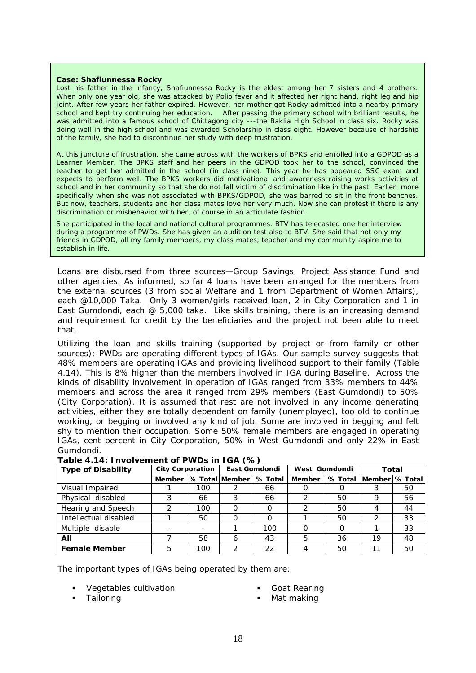#### **Case: Shafiunnessa Rocky**

Lost his father in the infancy, Shafiunnessa Rocky is the eldest among her 7 sisters and 4 brothers. When only one year old, she was attacked by Polio fever and it affected her right hand, right leg and hip joint. After few years her father expired. However, her mother got Rocky admitted into a nearby primary school and kept try continuing her education. After passing the primary school with brilliant results, he was admitted into a famous school of Chittagong city ---the Baklia High School in class six. Rocky was doing well in the high school and was awarded Scholarship in class eight. However because of hardship of the family, she had to discontinue her study with deep frustration.

At this juncture of frustration, she came across with the workers of BPKS and enrolled into a GDPOD as a Learner Member. The BPKS staff and her peers in the GDPOD took her to the school, convinced the teacher to get her admitted in the school (in class nine). This year he has appeared SSC exam and expects to perform well. The BPKS workers did motivational and awareness raising works activities at school and in her community so that she do not fall victim of discrimination like in the past. Earlier, more specifically when she was not associated with BPKS/GDPOD, she was barred to sit in the front benches. But now, teachers, students and her class mates love her very much. Now she can protest if there is any discrimination or misbehavior with her, of course in an articulate fashion..

She participated in the local and national cultural programmes. BTV has telecasted one her interview during a programme of PWDs. She has given an audition test also to BTV. She said that not only my friends in GDPOD, all my family members, my class mates, teacher and my community aspire me to establish in life.

Loans are disbursed from three sources—Group Savings, Project Assistance Fund and other agencies. As informed, so far 4 loans have been arranged for the members from the external sources (3 from social Welfare and 1 from Department of Women Affairs), each @10,000 Taka. Only 3 women/girls received loan, 2 in City Corporation and 1 in East Gumdondi, each  $@$  5,000 taka. Like skills training, there is an increasing demand and requirement for credit by the beneficiaries and the project not been able to meet that.

Utilizing the loan and skills training (supported by project or from family or other sources); PWDs are operating different types of IGAs. Our sample survey suggests that 48% members are operating IGAs and providing livelihood support to their family (Table 4.14). This is 8% higher than the members involved in IGA during Baseline. Across the kinds of disability involvement in operation of IGAs ranged from 33% members to 44% members and across the area it ranged from 29% members (East Gumdondi) to 50% (City Corporation). It is assumed that rest are not involved in any income generating activities, either they are totally dependent on family (unemployed), too old to continue working, or begging or involved any kind of job. Some are involved in begging and felt shy to mention their occupation. Some 50% female members are engaged in operating IGAs, cent percent in City Corporation, 50% in West Gumdondi and only 22% in East Gumdondi.

| <b>Type of Disability</b> |        | <b>City Corporation</b> |                | East Gomdondi |        | West Gomdondi | Total          |    |
|---------------------------|--------|-------------------------|----------------|---------------|--------|---------------|----------------|----|
|                           | Member |                         | % Total Member | % Total       | Member | % Total       | Member % Total |    |
| Visual Impaired           |        | 100                     |                | 66            |        |               |                | 50 |
| Physical disabled         |        | 66                      | 3              | 66            | っ      | 50            | Q              | 56 |
| Hearing and Speech        |        | 100                     | O              |               | っ      | 50            |                | 44 |
| Intellectual disabled     |        | 50                      |                |               |        | 50            | っ              | 33 |
| Multiple disable          |        |                         |                | 100           |        | $\Omega$      |                | 33 |
| All                       |        | 58                      | 6              | 43            | 5      | 36            | 19             | 48 |
| <b>Female Member</b>      | 5      | 100                     | 2              | 22            | 4      | 50            | 11             | 50 |

**Table 4.14: Involvement of PWDs in IGA (%)**

The important types of IGAs being operated by them are:

Vegetables cultivation

Goat Rearing

Tailoring

Mat making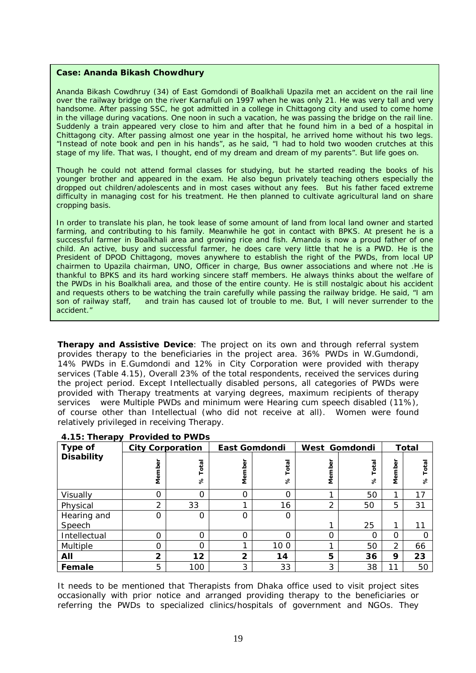#### **Case: Ananda Bikash Chowdhury**

Ananda Bikash Cowdhruy (34) of East Gomdondi of Boalkhali Upazila met an accident on the rail line over the railway bridge on the river Karnafuli on 1997 when he was only 21. He was very tall and very handsome. After passing SSC, he got admitted in a college in Chittagong city and used to come home in the village during vacations. One noon in such a vacation, he was passing the bridge on the rail line. Suddenly a train appeared very close to him and after that he found him in a bed of a hospital in Chittagong city. After passing almost one year in the hospital, he arrived home without his two legs. "Instead of note book and pen in his hands", as he said, "I had to hold two wooden crutches at this stage of my life. That was, I thought, end of my dream and dream of my parents". But life goes on.

Though he could not attend formal classes for studying, but he started reading the books of his younger brother and appeared in the exam. He also begun privately teaching others especially the dropped out children/adolescents and in most cases without any fees. But his father faced extreme difficulty in managing cost for his treatment. He then planned to cultivate agricultural land on share cropping basis.

In order to translate his plan, he took lease of some amount of land from local land owner and started farming, and contributing to his family. Meanwhile he got in contact with BPKS. At present he is a successful farmer in Boalkhali area and growing rice and fish. Amanda is now a proud father of one child. An active, busy and successful farmer, he does care very little that he is a PWD. He is the President of DPOD Chittagong, moves anywhere to establish the right of the PWDs, from local UP chairmen to Upazila chairman, UNO, Officer in charge, Bus owner associations and where not .He is thankful to BPKS and its hard working sincere staff members. He always thinks about the welfare of the PWDs in his Boalkhali area, and those of the entire county. He is still nostalgic about his accident and requests others to be watching the train carefully while passing the railway bridge. He said, "I am son of railway staff, and train has caused lot of trouble to me. But, I will never surrender to the and train has caused lot of trouble to me. But, I will never surrender to the accident."

**Therapy and Assistive Device**: The project on its own and through referral system provides therapy to the beneficiaries in the project area. 36% PWDs in W.Gumdondi, 14% PWDs in E.Gumdondi and 12% in City Corporation were provided with therapy services (Table 4.15), Overall 23% of the total respondents, received the services during the project period. Except Intellectually disabled persons, all categories of PWDs were provided with Therapy treatments at varying degrees, maximum recipients of therapy services were Multiple PWDs and minimum were Hearing cum speech disabled (11%), of course other than Intellectual (who did not receive at all). Women were found relatively privileged in receiving Therapy.

| Type of           | <b>City Corporation</b> |                   |                          | <b>East Gomdondi</b> |          | West Gomdondi | <b>Total</b>     |        |
|-------------------|-------------------------|-------------------|--------------------------|----------------------|----------|---------------|------------------|--------|
| <b>Disability</b> | Member                  | Total<br>$\delta$ | <u>ត្</u><br><b>Meml</b> | Total<br>℅           | Member   | otal<br>℅     | ō<br>ق<br>©<br>≦ | 四<br>℅ |
| Visually          | 0                       | 0                 | ∩                        | $\Omega$             |          | 50            | ◢                | 17     |
| Physical          | $\overline{2}$          | 33                |                          | 16                   | 2        | 50            | 5                | 31     |
| Hearing and       | 0                       | 0                 | ∩                        | 0                    |          |               |                  |        |
| Speech            |                         |                   |                          |                      |          | 25            |                  |        |
| Intellectual      | 0                       | $\Omega$          | ∩                        | $\Omega$             | $\Omega$ |               | Ω                |        |
| Multiple          | 0                       | 0                 |                          | 100                  |          | 50            | 2                | 66     |
| All               | $\overline{2}$          | 12                | $\mathbf{2}$             | 14                   | 5        | 36            | 9                | 23     |
| Female            | 5                       | 100               | 3                        | 33                   | 3        | 38            | 11               | 50     |

#### **4.15: Therapy Provided to PWDs**

It needs to be mentioned that Therapists from Dhaka office used to visit project sites occasionally with prior notice and arranged providing therapy to the beneficiaries or referring the PWDs to specialized clinics/hospitals of government and NGOs. They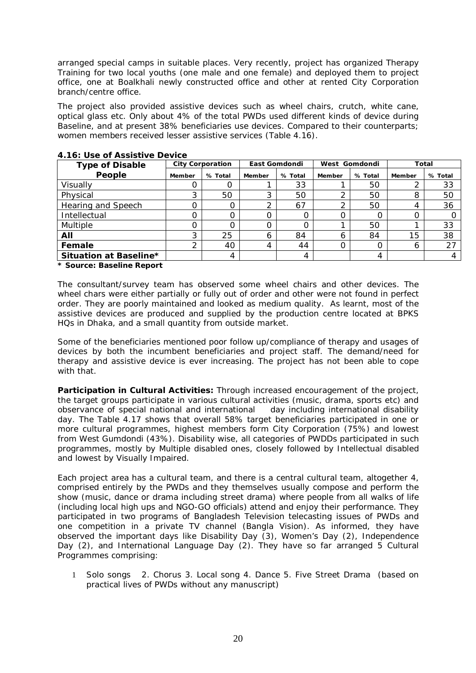arranged special camps in suitable places. Very recently, project has organized Therapy Training for two local youths (one male and one female) and deployed them to project office, one at Boalkhali newly constructed office and other at rented City Corporation branch/centre office.

The project also provided assistive devices such as wheel chairs, crutch, white cane, optical glass etc. Only about 4% of the total PWDs used different kinds of device during Baseline, and at present 38% beneficiaries use devices. Compared to their counterparts; women members received lesser assistive services (Table 4.16).

| <b>Type of Disable</b> |        | <b>City Corporation</b> |        | East Gomdondi | West Gomdondi |                  |        | Total   |
|------------------------|--------|-------------------------|--------|---------------|---------------|------------------|--------|---------|
| People                 | Member | % Total                 | Member | % Total       | Member        | % Total          | Member | % Total |
| Visually               |        |                         |        | 33            |               | 50               |        | 33      |
| Physical               | ົ      | 50                      | ◠      | 50            |               | 50               | 8      | 50      |
| Hearing and Speech     |        |                         |        | 67            |               | 50               | 4      | 36      |
| Intellectual           |        |                         |        |               |               | $\left( \right)$ |        |         |
| Multiple               |        |                         |        |               |               | 50               |        | 33      |
| All                    | 3      | 25                      | 6      | 84            | <sub>6</sub>  | 84               | 15     | 38      |
| Female                 |        | 40                      | 4      | 44            |               | Ω                | 6      | 27      |
| Situation at Baseline* |        | 4                       |        | 4             |               | 4                |        |         |

#### **4.16: Use of Assistive Device**

*\* Source: Baseline Report*

The consultant/survey team has observed some wheel chairs and other devices. The wheel chars were either partially or fully out of order and other were not found in perfect order. They are poorly maintained and looked as medium quality. As learnt, most of the assistive devices are produced and supplied by the production centre located at BPKS HQs in Dhaka, and a small quantity from outside market.

Some of the beneficiaries mentioned poor follow up/compliance of therapy and usages of devices by both the incumbent beneficiaries and project staff. The demand/need for therapy and assistive device is ever increasing. The project has not been able to cope with that.

**Participation in Cultural Activities:** Through increased encouragement of the project, the target groups participate in various cultural activities (music, drama, sports etc) and observance of special national and international day including international disability day. The Table 4.17 shows that overall 58% target beneficiaries participated in one or more cultural programmes, highest members form City Corporation (75%) and lowest from West Gumdondi (43%). Disability wise, all categories of PWDDs participated in such programmes, mostly by Multiple disabled ones, closely followed by Intellectual disabled and lowest by Visually Impaired.

Each project area has a cultural team, and there is a central cultural team, altogether 4, comprised entirely by the PWDs and they themselves usually compose and perform the show (music, dance or drama including street drama) where people from all walks of life (including local high ups and NGO-GO officials) attend and enjoy their performance. They participated in two programs of Bangladesh Television telecasting issues of PWDs and one competition in a private TV channel (Bangla Vision). As informed, they have observed the important days like Disability Day (3), Women's Day (2), Independence Day (2), and International Language Day (2). They have so far arranged 5 Cultural Programmes comprising:

1 Solo songs 2. Chorus 3. Local song 4. Dance 5. Five Street Drama (based on practical lives of PWDs without any manuscript)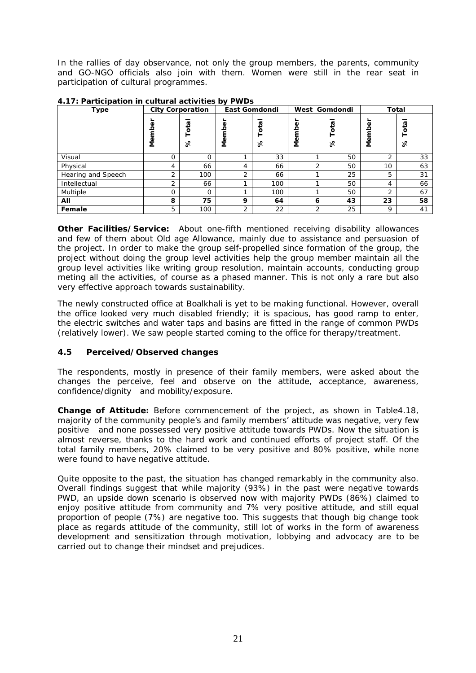In the rallies of day observance, not only the group members, the parents, community and GO-NGO officials also join with them. Women were still in the rear seat in participation of cultural programmes.

| <b>Type</b>        |              | <b>City Corporation</b> |             | East Gomdondi |          | West Gomdondi                     | Total  |             |  |
|--------------------|--------------|-------------------------|-------------|---------------|----------|-----------------------------------|--------|-------------|--|
|                    | Φ<br>е<br>Ме | Total<br>%              | Φ<br>Φ<br>Ž | ត្ម<br>ō<br>৯ | Φ<br>Mem | $\overline{\mathbf{c}}$<br>P<br>৯ | Φ<br>ğ | ø<br>P<br>% |  |
| Visual             | $\Omega$     | $\Omega$                |             | 33            |          | 50                                | 2      | 33          |  |
| Physical           | 4            | 66                      | 4           | 66            | ∍        | 50                                | 10     | 63          |  |
| Hearing and Speech | ∍            | 100                     | 2           | 66            |          | 25                                | 5      | 31          |  |
| Intellectual       | ◠            | 66                      |             | 100           |          | 50                                | 4      | 66          |  |
| Multiple           | O            | $\Omega$                |             | 100           |          | 50                                | 2      | 67          |  |
| All                | 8            | 75                      | 9           | 64            | 6        | 43                                | 23     | 58          |  |
| Female             | 5            | 100                     | 2           | 22            | 2        | 25                                | 9      | 41          |  |

**4.17: Participation in cultural activities by PWDs**

**Other Facilities/Service:** About one-fifth mentioned receiving disability allowances and few of them about Old age Allowance, mainly due to assistance and persuasion of the project. In order to make the group self-propelled since formation of the group, the project without doing the group level activities help the group member maintain all the group level activities like writing group resolution, maintain accounts, conducting group meting all the activities, of course as a phased manner. This is not only a rare but also very effective approach towards sustainability.

The newly constructed office at Boalkhali is yet to be making functional. However, overall the office looked very much disabled friendly; it is spacious, has good ramp to enter, the electric switches and water taps and basins are fitted in the range of common PWDs (relatively lower). We saw people started coming to the office for therapy/treatment.

## **4.5 Perceived/Observed changes**

The respondents, mostly in presence of their family members, were asked about the changes the perceive, feel and observe on the attitude, acceptance, awareness, confidence/dignity and mobility/exposure.

**Change of Attitude:** Before commencement of the project, as shown in Table4.18, majority of the community people's and family members' attitude was negative, very few positive and none possessed very positive attitude towards PWDs. Now the situation is almost reverse, thanks to the hard work and continued efforts of project staff. Of the total family members, 20% claimed to be very positive and 80% positive, while none were found to have negative attitude.

Quite opposite to the past, the situation has changed remarkably in the community also. Overall findings suggest that while majority (93%) in the past were negative towards PWD, an upside down scenario is observed now with majority PWDs (86%) claimed to enjoy positive attitude from community and 7% very positive attitude, and still equal proportion of people (7%) are negative too. This suggests that though big change took place as regards attitude of the community, still lot of works in the form of awareness development and sensitization through motivation, lobbying and advocacy are to be carried out to change their mindset and prejudices.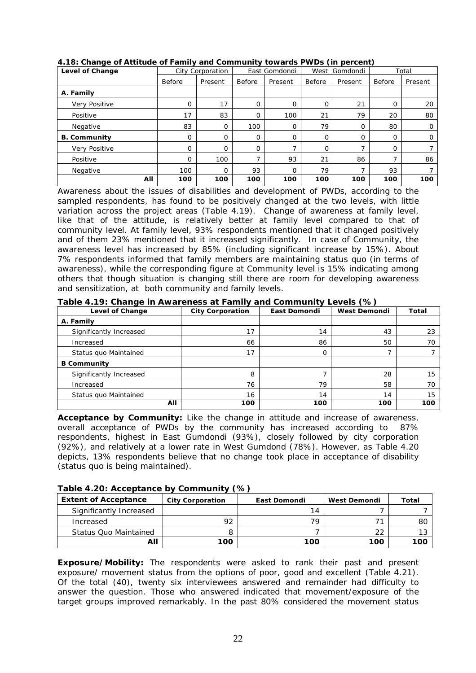| Level of Change      |             | City Corporation |          | East Gomdondi | West        | Gomdondi    |             | Total   |
|----------------------|-------------|------------------|----------|---------------|-------------|-------------|-------------|---------|
|                      | Before      | Present          | Before   | Present       | Before      | Present     | Before      | Present |
| A. Family            |             |                  |          |               |             |             |             |         |
| <b>Verv Positive</b> | $\mathbf 0$ | 17               | $\Omega$ | 0             | 0           | 21          | 0           | 20      |
| Positive             | 17          | 83               | $\Omega$ | 100           | 21          | 79          | 20          | 80      |
| Negative             | 83          | 0                | 100      | 0             | 79          | 0           | 80          | O       |
| <b>B. Community</b>  | $\mathbf 0$ | $\mathbf 0$      | $\Omega$ | 0             | 0           | $\mathbf 0$ | $\mathbf 0$ | O       |
| Very Positive        | 0           | $\Omega$         | $\Omega$ | ⇁             | $\mathbf 0$ | ⇁           | $\mathbf 0$ |         |
| Positive             | 0           | 100              |          | 93            | 21          | 86          | 7           | 86      |
| Negative             | 100         | $\Omega$         | 93       | $\Omega$      | 79          |             | 93          |         |
| All                  | 100         | 100              | 100      | 100           | 100         | 100         | 100         | 100     |

#### **4.18: Change of Attitude of Family and Community towards PWDs (in percent)**

Awareness about the issues of disabilities and development of PWDs, according to the sampled respondents, has found to be positively changed at the two levels, with little variation across the project areas (Table 4.19). Change of awareness at family level, like that of the attitude, is relatively better at family level compared to that of community level. At family level, 93% respondents mentioned that it changed positively and of them 23% mentioned that it increased significantly. In case of Community, the awareness level has increased by 85% (including significant increase by 15%). About 7% respondents informed that family members are maintaining status quo (in terms of awareness), while the corresponding figure at Community level is 15% indicating among others that though situation is changing still there are room for developing awareness and sensitization, at both community and family levels.

#### **Table 4.19: Change in Awareness at Family and Community Levels (%)**

| Level of Change         | <b>City Corporation</b> | East Domondi | <b>West Demondi</b> | Total |
|-------------------------|-------------------------|--------------|---------------------|-------|
| A. Family               |                         |              |                     |       |
| Significantly Increased | 17                      | 14           | 43                  | 23    |
| Increased               | 66                      | 86           | 50                  | 70    |
| Status quo Maintained   | 17                      | 0            |                     |       |
| <b>B</b> Community      |                         |              |                     |       |
| Significantly Increased | 8                       |              | 28                  | 15    |
| Increased               | 76                      | 79           | 58                  | 70    |
| Status quo Maintained   | 16                      | 14           | 14                  | 15    |
| All                     | 100                     | 100          | 100                 | 100   |

**Acceptance by Community:** Like the change in attitude and increase of awareness, overall acceptance of PWDs by the community has increased according to 87% respondents, highest in East Gumdondi (93%), closely followed by city corporation (92%), and relatively at a lower rate in West Gumdond (78%). However, as Table 4.20 depicts, 13% respondents believe that no change took place in acceptance of disability (status quo is being maintained).

#### **Table 4.20: Acceptance by Community (%)**

| <b>Extent of Acceptance</b>  | City Corporation | East Domondi | West Demondi | Total |
|------------------------------|------------------|--------------|--------------|-------|
| Significantly Increased      |                  | 14           |              |       |
| Increased                    | 92               | 70           |              | 80    |
| <b>Status Quo Maintained</b> |                  |              | 22           |       |
| All                          | 100              | 100          | 100          | 100   |

**Exposure/Mobility:** The respondents were asked to rank their past and present exposure/ movement status from the options of poor, good and excellent (Table 4.21). Of the total (40), twenty six interviewees answered and remainder had difficulty to answer the question. Those who answered indicated that movement/exposure of the target groups improved remarkably. In the past 80% considered the movement status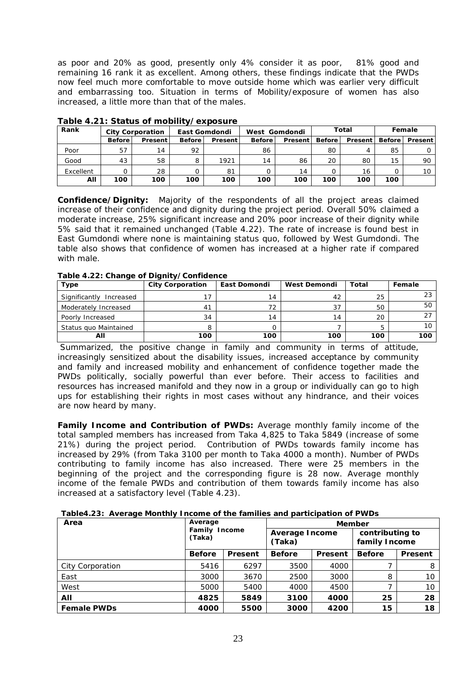as poor and 20% as good, presently only 4% consider it as poor, 81% good and remaining 16 rank it as excellent. Among others, these findings indicate that the PWDs now feel much more comfortable to move outside home which was earlier very difficult and embarrassing too. Situation in terms of Mobility/exposure of women has also increased, a little more than that of the males.

| Rank      |               | <b>City Corporation</b> |               | East Gomdondi  |               | West Gomdondi |               | Total   |               | Female         |
|-----------|---------------|-------------------------|---------------|----------------|---------------|---------------|---------------|---------|---------------|----------------|
|           | <b>Before</b> | Present                 | <b>Before</b> | <b>Present</b> | <b>Before</b> | Present       | <b>Before</b> | Present | <b>Before</b> | <b>Present</b> |
| Poor      | 57            | 14                      | 92            |                | 86            |               | 80            |         | 85            |                |
| Good      | 43            | 58                      |               | 1921           | 14            | 86            | 20            | 80      | 15            | 90             |
| Excellent |               | 28                      |               | 81             |               | 14            |               | 16      |               |                |
| All       | 100           | 100                     | 100           | 100            | 100           | 100           | 100           | 100     | 100           |                |

## **Table 4.21: Status of mobility/exposure**

**Confidence/Dignity:** Majority of the respondents of all the project areas claimed increase of their confidence and dignity during the project period. Overall 50% claimed a moderate increase, 25% significant increase and 20% poor increase of their dignity while 5% said that it remained unchanged (Table 4.22). The rate of increase is found best in East Gumdondi where none is maintaining status quo, followed by West Gumdondi. The table also shows that confidence of women has increased at a higher rate if compared with male.

| $1.4810$ $1.441$ , $0.101$ , $0.0$ $0.1$ $0.0$ , $0.0$ , $0.0$ , $0.0$ , $0.0$ |                         |              |              |       |        |  |
|--------------------------------------------------------------------------------|-------------------------|--------------|--------------|-------|--------|--|
| Type                                                                           | <b>City Corporation</b> | East Domondi | West Demondi | Total | Female |  |
| Significantly<br>Increased                                                     |                         | 14           | 42           | 25    |        |  |
| Moderately Increased                                                           | 4 <sup>1</sup>          | 72           |              | 50    | 50     |  |
| Poorly Increased                                                               | 34                      | 14           | 14           | 20    |        |  |
| Status quo Maintained                                                          | 8                       |              |              | 5     | 10     |  |
| All                                                                            | 100                     | 100          | 100          | 100   | 100    |  |

#### **Table 4.22: Change of Dignity/Confidence**

Summarized, the positive change in family and community in terms of attitude, increasingly sensitized about the disability issues, increased acceptance by community and family and increased mobility and enhancement of confidence together made the PWDs politically, socially powerful than ever before. Their access to facilities and resources has increased manifold and they now in a group or individually can go to high ups for establishing their rights in most cases without any hindrance, and their voices are now heard by many.

**Family Income and Contribution of PWDs:** Average monthly family income of the total sampled members has increased from Taka 4,825 to Taka 5849 (increase of some 21%) during the project period. Contribution of PWDs towards family income has increased by 29% (from Taka 3100 per month to Taka 4000 a month). Number of PWDs contributing to family income has also increased. There were 25 members in the beginning of the project and the corresponding figure is 28 now. Average monthly income of the female PWDs and contribution of them towards family income has also increased at a satisfactory level (Table 4.23).

| Table4.23: Average Monthly Income of the families and participation of PWDs |  |  |  |
|-----------------------------------------------------------------------------|--|--|--|
|                                                                             |  |  |  |

| Area               |                         | Average |                          | Member  |                                  |         |  |  |  |
|--------------------|-------------------------|---------|--------------------------|---------|----------------------------------|---------|--|--|--|
|                    | Family Income<br>(Taka) |         | Average Income<br>(Taka) |         | contributing to<br>family Income |         |  |  |  |
|                    | <b>Before</b>           | Present | <b>Before</b>            | Present | <b>Before</b>                    | Present |  |  |  |
| City Corporation   | 5416                    | 6297    | 3500                     | 4000    |                                  | 8       |  |  |  |
| East               | 3000                    | 3670    | 2500                     | 3000    | 8                                | 10      |  |  |  |
| West               | 5000                    | 5400    | 4000                     | 4500    |                                  | 10      |  |  |  |
| All                | 4825                    | 5849    | 3100                     | 4000    | 25                               | 28      |  |  |  |
| <b>Female PWDs</b> | 4000                    | 5500    | 3000                     | 4200    | 15                               | 18      |  |  |  |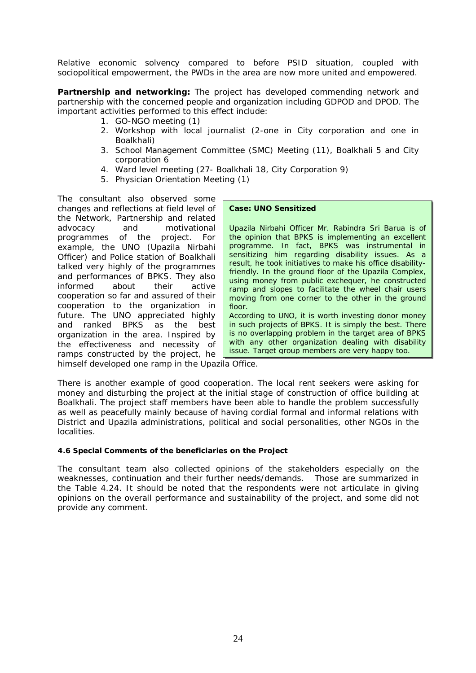Relative economic solvency compared to before PSID situation, coupled with sociopolitical empowerment, the PWDs in the area are now more united and empowered.

**Partnership and networking:** The project has developed commending network and partnership with the concerned people and organization including GDPOD and DPOD. The important activities performed to this effect include:

- 1. GO-NGO meeting (1)
- 2. Workshop with local journalist (2-one in City corporation and one in Boalkhali)
- 3. School Management Committee (SMC) Meeting (11), Boalkhali 5 and City corporation 6
- 4. Ward level meeting (27- Boalkhali 18, City Corporation 9)
- 5. Physician Orientation Meeting (1)

The consultant also observed some changes and reflections at field level of the Network, Partnership and related advocacy and motivational programmes of the project. For example, the UNO (Upazila Nirbahi Officer) and Police station of Boalkhali talked very highly of the programmes and performances of BPKS. They also informed about their active cooperation so far and assured of their cooperation to the organization in future. The UNO appreciated highly and ranked BPKS as the best organization in the area. Inspired by the effectiveness and necessity of ramps constructed by the project, he

#### **Case: UNO Sensitized**

Upazila Nirbahi Officer Mr. Rabindra Sri Barua is of the opinion that BPKS is implementing an excellent programme. In fact, BPKS was instrumental in sensitizing him regarding disability issues. As a result, he took initiatives to make his office disabilityfriendly. In the ground floor of the Upazila Complex, using money from public exchequer, he constructed ramp and slopes to facilitate the wheel chair users moving from one corner to the other in the ground floor.

According to UNO, it is worth investing donor money in such projects of BPKS. It is simply the best. There is no overlapping problem in the target area of BPKS with any other organization dealing with disability issue. Target group members are very happy too.

himself developed one ramp in the Upazila Office.

There is another example of good cooperation. The local rent seekers were asking for money and disturbing the project at the initial stage of construction of office building at Boalkhali. The project staff members have been able to handle the problem successfully as well as peacefully mainly because of having cordial formal and informal relations with District and Upazila administrations, political and social personalities, other NGOs in the localities.

#### **4.6 Special Comments of the beneficiaries on the Project**

The consultant team also collected opinions of the stakeholders especially on the weaknesses, continuation and their further needs/demands. Those are summarized in the Table 4.24. It should be noted that the respondents were not articulate in giving opinions on the overall performance and sustainability of the project, and some did not provide any comment.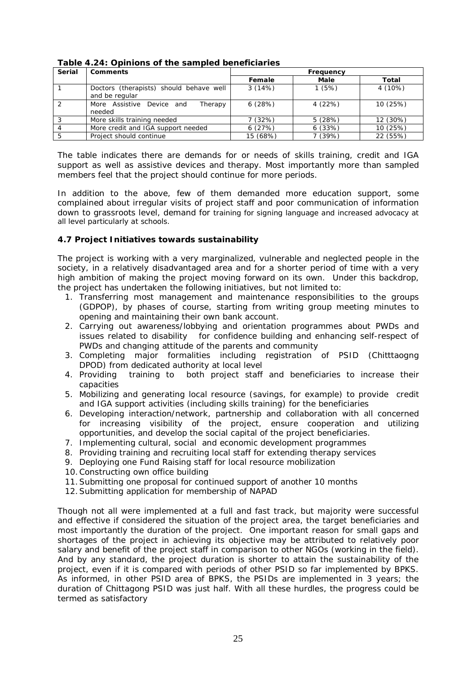| Serial        | Comments                                                  | Frequency |        |          |  |  |
|---------------|-----------------------------------------------------------|-----------|--------|----------|--|--|
|               |                                                           | Female    | Male   | Total    |  |  |
|               | Doctors (therapists) should behave well<br>and be regular | 3(14%)    | 1(5%)  | 4 (10%)  |  |  |
| $\mathcal{D}$ | More Assistive Device and<br>Therapy<br>needed            | 6(28%)    | 4(22%) | 10 (25%) |  |  |
| 3             | More skills training needed                               | 7 (32%)   | 5(28%) | 12 (30%) |  |  |
|               | More credit and IGA support needed                        | 6(27%)    | 6(33%) | 10 (25%) |  |  |
|               | Project should continue                                   | 15 (68%)  | 7(39%) | 22 (55%) |  |  |

**Table 4.24: Opinions of the sampled beneficiaries** 

The table indicates there are demands for or needs of skills training, credit and IGA support as well as assistive devices and therapy. Most importantly more than sampled members feel that the project should continue for more periods.

In addition to the above, few of them demanded more education support, some complained about irregular visits of project staff and poor communication of information down to grassroots level, demand for training for signing language and increased advocacy at all level particularly at schools.

## **4.7 Project Initiatives towards sustainability**

The project is working with a very marginalized, vulnerable and neglected people in the society, in a relatively disadvantaged area and for a shorter period of time with a very high ambition of making the project moving forward on its own. Under this backdrop, the project has undertaken the following initiatives, but not limited to:

- 1. Transferring most management and maintenance responsibilities to the groups (GDPOP), by phases of course, starting from writing group meeting minutes to opening and maintaining their own bank account.
- 2. Carrying out awareness/lobbying and orientation programmes about PWDs and issues related to disability for confidence building and enhancing self-respect of PWDs and changing attitude of the parents and community
- 3. Completing major formalities including registration of PSID (Chitttaogng DPOD) from dedicated authority at local level
- 4. Providing training to both project staff and beneficiaries to increase their capacities
- 5. Mobilizing and generating local resource (savings, for example) to provide credit and IGA support activities (including skills training) for the beneficiaries
- 6. Developing interaction/network, partnership and collaboration with all concerned for increasing visibility of the project, ensure cooperation and utilizing opportunities, and develop the social capital of the project beneficiaries.
- 7. Implementing cultural, social and economic development programmes
- 8. Providing training and recruiting local staff for extending therapy services
- 9. Deploying one Fund Raising staff for local resource mobilization
- 10.Constructing own office building
- 11.Submitting one proposal for continued support of another 10 months
- 12.Submitting application for membership of NAPAD

Though not all were implemented at a full and fast track, but majority were successful and effective if considered the situation of the project area, the target beneficiaries and most importantly the duration of the project. One important reason for small gaps and shortages of the project in achieving its objective may be attributed to relatively poor salary and benefit of the project staff in comparison to other NGOs (working in the field). And by any standard, the project duration is shorter to attain the sustainability of the project, even if it is compared with periods of other PSID so far implemented by BPKS. As informed, in other PSID area of BPKS, the PSIDs are implemented in 3 years; the duration of Chittagong PSID was just half. With all these hurdles, the progress could be termed as satisfactory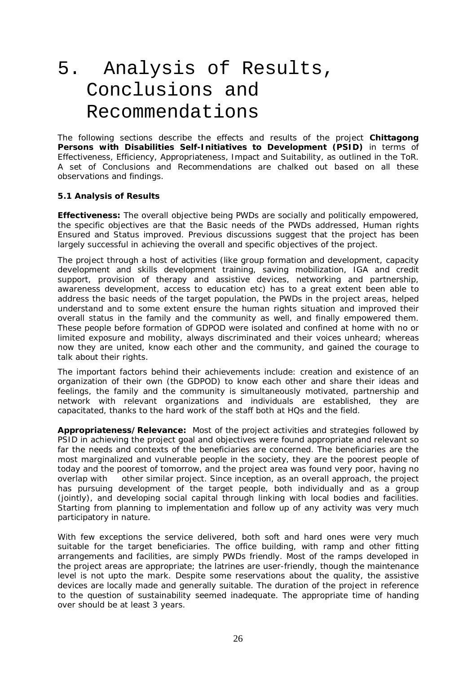# 5. Analysis of Results, Conclusions and Recommendations

The following sections describe the effects and results of the project **Chittagong Persons with Disabilities Self-Initiatives to Development (PSID)** in terms of Effectiveness, Efficiency, Appropriateness, Impact and Suitability, as outlined in the ToR. A set of Conclusions and Recommendations are chalked out based on all these observations and findings.

#### **5.1 Analysis of Results**

**Effectiveness:** The overall objective being PWDs are socially and politically empowered, the specific objectives are that the Basic needs of the PWDs addressed, Human rights Ensured and Status improved. Previous discussions suggest that the project has been largely successful in achieving the overall and specific objectives of the project.

The project through a host of activities (like group formation and development, capacity development and skills development training, saving mobilization, IGA and credit support, provision of therapy and assistive devices, networking and partnership, awareness development, access to education etc) has to a great extent been able to address the basic needs of the target population, the PWDs in the project areas, helped understand and to some extent ensure the human rights situation and improved their overall status in the family and the community as well, and finally empowered them. These people before formation of GDPOD were isolated and confined at home with no or limited exposure and mobility, always discriminated and their voices unheard; whereas now they are united, know each other and the community, and gained the courage to talk about their rights.

The important factors behind their achievements include: creation and existence of an organization of their own (the GDPOD) to know each other and share their ideas and feelings, the family and the community is simultaneously motivated, partnership and network with relevant organizations and individuals are established, they are capacitated, thanks to the hard work of the staff both at HQs and the field.

**Appropriateness/Relevance:** Most of the project activities and strategies followed by PSID in achieving the project goal and objectives were found appropriate and relevant so far the needs and contexts of the beneficiaries are concerned. The beneficiaries are the most marginalized and vulnerable people in the society, they are the poorest people of today and the poorest of tomorrow, and the project area was found very poor, having no overlap with other similar project. Since inception, as an overall approach, the project has pursuing development of the target people, both individually and as a group (jointly), and developing social capital through linking with local bodies and facilities. Starting from planning to implementation and follow up of any activity was very much participatory in nature.

With few exceptions the service delivered, both soft and hard ones were very much suitable for the target beneficiaries. The office building, with ramp and other fitting arrangements and facilities, are simply PWDs friendly. Most of the ramps developed in the project areas are appropriate; the latrines are user-friendly, though the maintenance level is not upto the mark. Despite some reservations about the quality, the assistive devices are locally made and generally suitable. The duration of the project in reference to the question of sustainability seemed inadequate. The appropriate time of handing over should be at least 3 years.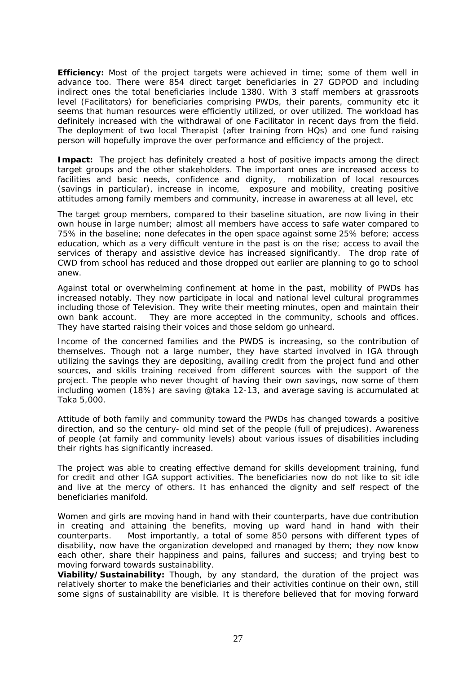**Efficiency:** Most of the project targets were achieved in time; some of them well in advance too. There were 854 direct target beneficiaries in 27 GDPOD and including indirect ones the total beneficiaries include 1380. With 3 staff members at grassroots level (Facilitators) for beneficiaries comprising PWDs, their parents, community etc it seems that human resources were efficiently utilized, or over utilized. The workload has definitely increased with the withdrawal of one Facilitator in recent days from the field. The deployment of two local Therapist (after training from HQs) and one fund raising person will hopefully improve the over performance and efficiency of the project.

**Impact:** The project has definitely created a host of positive impacts among the direct target groups and the other stakeholders. The important ones are increased access to facilities and basic needs, confidence and dignity, mobilization of local resources (savings in particular), increase in income, exposure and mobility, creating positive attitudes among family members and community, increase in awareness at all level, etc

The target group members, compared to their baseline situation, are now living in their own house in large number; almost all members have access to safe water compared to 75% in the baseline; none defecates in the open space against some 25% before; access education, which as a very difficult venture in the past is on the rise; access to avail the services of therapy and assistive device has increased significantly. The drop rate of CWD from school has reduced and those dropped out earlier are planning to go to school anew.

Against total or overwhelming confinement at home in the past, mobility of PWDs has increased notably. They now participate in local and national level cultural programmes including those of Television. They write their meeting minutes, open and maintain their own bank account. They are more accepted in the community, schools and offices. They have started raising their voices and those seldom go unheard.

Income of the concerned families and the PWDS is increasing, so the contribution of themselves. Though not a large number, they have started involved in IGA through utilizing the savings they are depositing, availing credit from the project fund and other sources, and skills training received from different sources with the support of the project. The people who never thought of having their own savings, now some of them including women (18%) are saving @taka 12-13, and average saving is accumulated at Taka 5,000.

Attitude of both family and community toward the PWDs has changed towards a positive direction, and so the century- old mind set of the people (full of prejudices). Awareness of people (at family and community levels) about various issues of disabilities including their rights has significantly increased.

The project was able to creating effective demand for skills development training, fund for credit and other IGA support activities. The beneficiaries now do not like to sit idle and live at the mercy of others. It has enhanced the dignity and self respect of the beneficiaries manifold.

Women and girls are moving hand in hand with their counterparts, have due contribution in creating and attaining the benefits, moving up ward hand in hand with their counterparts. Most importantly, a total of some 850 persons with different types of disability, now have the organization developed and managed by them; they now know each other, share their happiness and pains, failures and success; and trying best to moving forward towards sustainability.

**Viability/Sustainability:** Though, by any standard, the duration of the project was relatively shorter to make the beneficiaries and their activities continue on their own, still some signs of sustainability are visible. It is therefore believed that for moving forward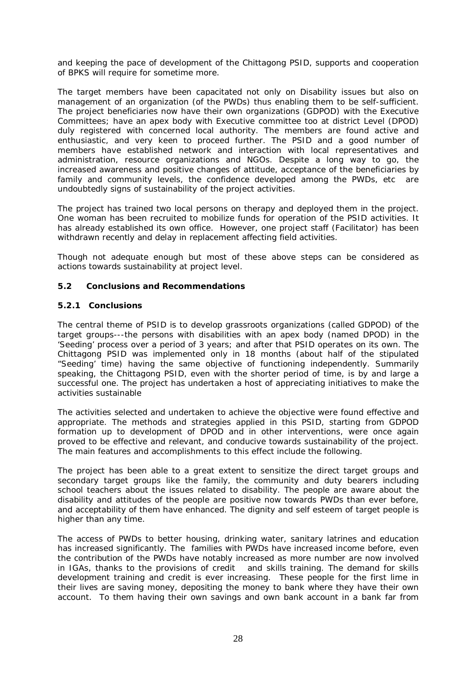and keeping the pace of development of the Chittagong PSID, supports and cooperation of BPKS will require for sometime more.

The target members have been capacitated not only on Disability issues but also on management of an organization (of the PWDs) thus enabling them to be self-sufficient. The project beneficiaries now have their own organizations (GDPOD) with the Executive Committees; have an apex body with Executive committee too at district Level (DPOD) duly registered with concerned local authority. The members are found active and enthusiastic, and very keen to proceed further. The PSID and a good number of members have established network and interaction with local representatives and administration, resource organizations and NGOs. Despite a long way to go, the increased awareness and positive changes of attitude, acceptance of the beneficiaries by family and community levels, the confidence developed among the PWDs, etc are undoubtedly signs of sustainability of the project activities.

The project has trained two local persons on therapy and deployed them in the project. One woman has been recruited to mobilize funds for operation of the PSID activities. It has already established its own office. However, one project staff (Facilitator) has been withdrawn recently and delay in replacement affecting field activities.

Though not adequate enough but most of these above steps can be considered as actions towards sustainability at project level.

#### **5.2 Conclusions and Recommendations**

#### **5.2.1 Conclusions**

The central theme of PSID is to develop grassroots organizations (called GDPOD) of the target groups---the persons with disabilities with an apex body (named DPOD) in the 'Seeding' process over a period of 3 years; and after that PSID operates on its own. The Chittagong PSID was implemented only in 18 months (about half of the stipulated "Seeding' time) having the same objective of functioning independently. Summarily speaking, the Chittagong PSID, even with the shorter period of time, is by and large a successful one. The project has undertaken a host of appreciating initiatives to make the activities sustainable

The activities selected and undertaken to achieve the objective were found effective and appropriate. The methods and strategies applied in this PSID, starting from GDPOD formation up to development of DPOD and in other interventions, were once again proved to be effective and relevant, and conducive towards sustainability of the project. The main features and accomplishments to this effect include the following.

The project has been able to a great extent to sensitize the direct target groups and secondary target groups like the family, the community and duty bearers including school teachers about the issues related to disability. The people are aware about the disability and attitudes of the people are positive now towards PWDs than ever before, and acceptability of them have enhanced. The dignity and self esteem of target people is higher than any time.

The access of PWDs to better housing, drinking water, sanitary latrines and education has increased significantly. The families with PWDs have increased income before, even the contribution of the PWDs have notably increased as more number are now involved in IGAs, thanks to the provisions of credit and skills training. The demand for skills development training and credit is ever increasing. These people for the first lime in their lives are saving money, depositing the money to bank where they have their own account. To them having their own savings and own bank account in a bank far from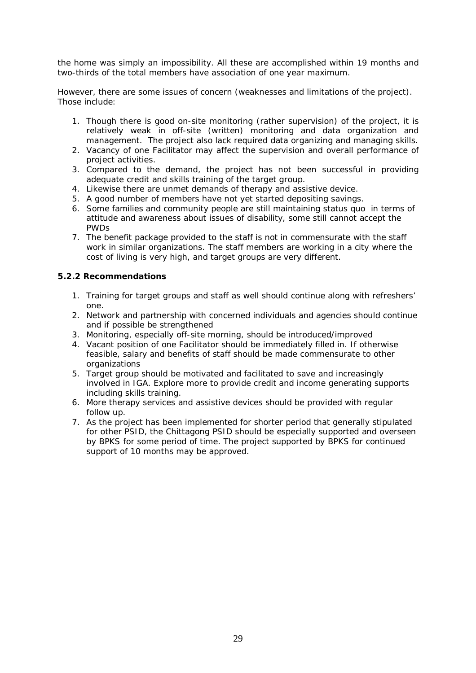the home was simply an impossibility. All these are accomplished within 19 months and two-thirds of the total members have association of one year maximum.

However, there are some issues of concern (weaknesses and limitations of the project). Those include:

- 1. Though there is good on-site monitoring (rather supervision) of the project, it is relatively weak in off-site (written) monitoring and data organization and management. The project also lack required data organizing and managing skills.
- 2. Vacancy of one Facilitator may affect the supervision and overall performance of project activities.
- 3. Compared to the demand, the project has not been successful in providing adequate credit and skills training of the target group.
- 4. Likewise there are unmet demands of therapy and assistive device.
- 5. A good number of members have not yet started depositing savings.
- 6. Some families and community people are still maintaining status quo in terms of attitude and awareness about issues of disability, some still cannot accept the PWDs
- 7. The benefit package provided to the staff is not in commensurate with the staff work in similar organizations. The staff members are working in a city where the cost of living is very high, and target groups are very different.

#### **5.2.2 Recommendations**

- 1. Training for target groups and staff as well should continue along with refreshers' one.
- 2. Network and partnership with concerned individuals and agencies should continue and if possible be strengthened
- 3. Monitoring, especially off-site morning, should be introduced/improved
- 4. Vacant position of one Facilitator should be immediately filled in. If otherwise feasible, salary and benefits of staff should be made commensurate to other organizations
- 5. Target group should be motivated and facilitated to save and increasingly involved in IGA. Explore more to provide credit and income generating supports including skills training.
- 6. More therapy services and assistive devices should be provided with regular follow up.
- 7. As the project has been implemented for shorter period that generally stipulated for other PSID, the Chittagong PSID should be especially supported and overseen by BPKS for some period of time. The project supported by BPKS for continued support of 10 months may be approved.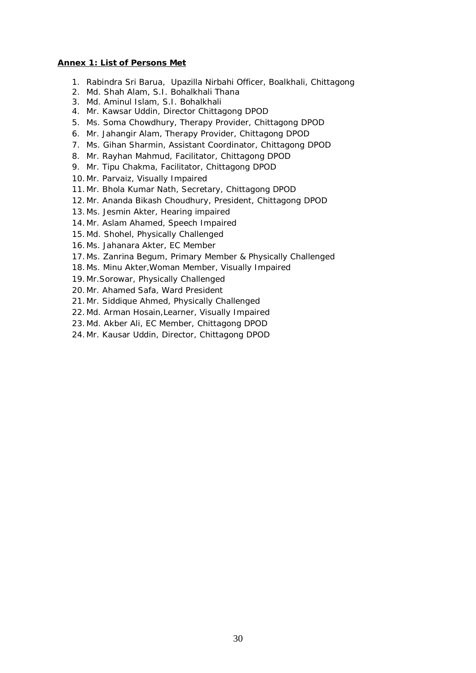#### **Annex 1: List of Persons Met**

- 1. Rabindra Sri Barua, Upazilla Nirbahi Officer, Boalkhali, Chittagong
- 2. Md. Shah Alam, S.I. Bohalkhali Thana
- 3. Md. Aminul Islam, S.I. Bohalkhali
- 4. Mr. Kawsar Uddin, Director Chittagong DPOD
- 5. Ms. Soma Chowdhury, Therapy Provider, Chittagong DPOD
- 6. Mr. Jahangir Alam, Therapy Provider, Chittagong DPOD
- 7. Ms. Gihan Sharmin, Assistant Coordinator, Chittagong DPOD
- 8. Mr. Rayhan Mahmud, Facilitator, Chittagong DPOD
- 9. Mr. Tipu Chakma, Facilitator, Chittagong DPOD
- 10.Mr. Parvaiz, Visually Impaired
- 11.Mr. Bhola Kumar Nath, Secretary, Chittagong DPOD
- 12.Mr. Ananda Bikash Choudhury, President, Chittagong DPOD
- 13.Ms. Jesmin Akter, Hearing impaired
- 14.Mr. Aslam Ahamed, Speech Impaired
- 15.Md. Shohel, Physically Challenged
- 16.Ms. Jahanara Akter, EC Member
- 17.Ms. Zanrina Begum, Primary Member & Physically Challenged
- 18.Ms. Minu Akter,Woman Member, Visually Impaired
- 19.Mr.Sorowar, Physically Challenged
- 20.Mr. Ahamed Safa, Ward President
- 21.Mr. Siddique Ahmed, Physically Challenged
- 22.Md. Arman Hosain,Learner, Visually Impaired
- 23.Md. Akber Ali, EC Member, Chittagong DPOD
- 24.Mr. Kausar Uddin, Director, Chittagong DPOD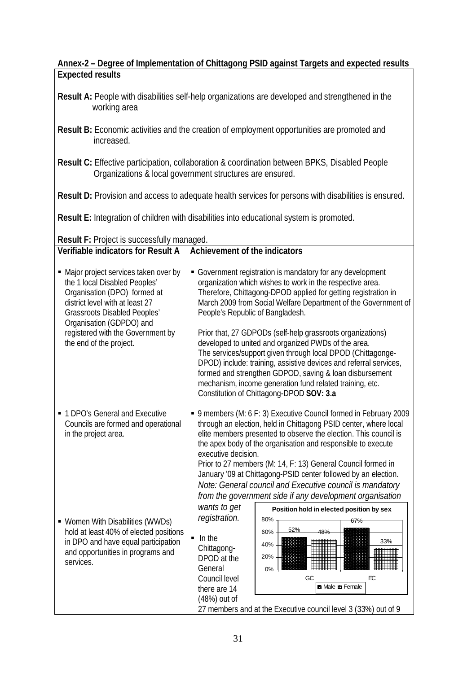## **Annex-2 – Degree of Implementation of Chittagong PSID against Targets and expected results Expected results**

**Result A:** People with disabilities self-help organizations are developed and strengthened in the working area

- **Result B:** Economic activities and the creation of employment opportunities are promoted and increased.
- **Result C:** Effective participation, collaboration & coordination between BPKS, Disabled People Organizations & local government structures are ensured.

**Result D:** Provision and access to adequate health services for persons with disabilities is ensured.

**Result E:** Integration of children with disabilities into educational system is promoted.

**Result F:** Project is successfully managed.

| <b>Verifiable indicators for Result A</b>                                                                                                                                                                                                          | <b>Achievement of the indicators</b>                                                                                                                                                                                                                                                                                                                                                                                                                                                                                                                                                                                   |  |
|----------------------------------------------------------------------------------------------------------------------------------------------------------------------------------------------------------------------------------------------------|------------------------------------------------------------------------------------------------------------------------------------------------------------------------------------------------------------------------------------------------------------------------------------------------------------------------------------------------------------------------------------------------------------------------------------------------------------------------------------------------------------------------------------------------------------------------------------------------------------------------|--|
| • Major project services taken over by<br>the 1 local Disabled Peoples'<br>Organisation (DPO) formed at<br>district level with at least 27<br><b>Grassroots Disabled Peoples'</b><br>Organisation (GDPDO) and<br>registered with the Government by | • Government registration is mandatory for any development<br>organization which wishes to work in the respective area.<br>Therefore, Chittagong-DPOD applied for getting registration in<br>March 2009 from Social Welfare Department of the Government of<br>People's Republic of Bangladesh.<br>Prior that, 27 GDPODs (self-help grassroots organizations)                                                                                                                                                                                                                                                          |  |
| the end of the project.                                                                                                                                                                                                                            | developed to united and organized PWDs of the area.<br>The services/support given through local DPOD (Chittagonge-<br>DPOD) include: training, assistive devices and referral services,<br>formed and strengthen GDPOD, saving & loan disbursement<br>mechanism, income generation fund related training, etc.<br>Constitution of Chittagong-DPOD SOV: 3.a                                                                                                                                                                                                                                                             |  |
| • 1 DPO's General and Executive<br>Councils are formed and operational<br>in the project area.                                                                                                                                                     | ■ 9 members (M: 6 F: 3) Executive Council formed in February 2009<br>through an election, held in Chittagong PSID center, where local<br>elite members presented to observe the election. This council is<br>the apex body of the organisation and responsible to execute<br>executive decision.<br>Prior to 27 members (M: 14, F: 13) General Council formed in<br>January '09 at Chittagong-PSID center followed by an election.<br>Note: General council and Executive council is mandatory<br>from the government side if any development organisation<br>wants to get<br>Position hold in elected position by sex |  |
| • Women With Disabilities (WWDs)<br>hold at least 40% of elected positions<br>in DPO and have equal participation<br>and opportunities in programs and<br>services.                                                                                | registration.<br>80%<br>67%<br>52%<br>60%<br>48%<br>$\blacksquare$ In the<br>33%<br>40%<br>Chittagong-<br>20%<br>DPOD at the<br>General<br>0%<br>GC<br>EC<br>Council level<br>there are 14<br>(48%) out of<br>27 members and at the Executive council level 3 (33%) out of 9                                                                                                                                                                                                                                                                                                                                           |  |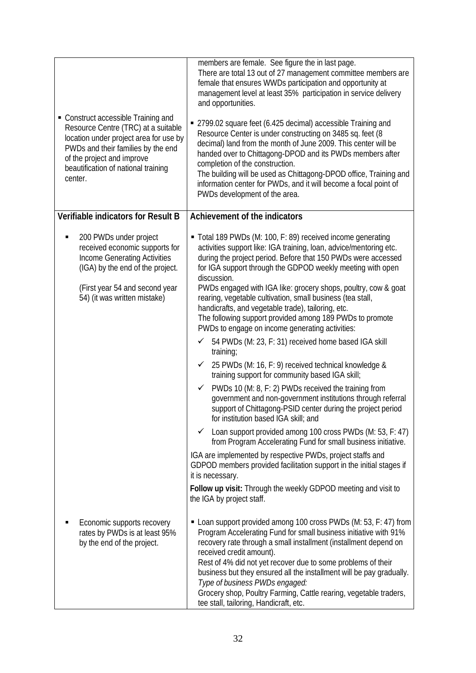| • Construct accessible Training and<br>Resource Centre (TRC) at a suitable<br>location under project area for use by<br>PWDs and their families by the end<br>of the project and improve<br>beautification of national training<br>center. | members are female. See figure the in last page.<br>There are total 13 out of 27 management committee members are<br>female that ensures WWDs participation and opportunity at<br>management level at least 35% participation in service delivery<br>and opportunities.<br>■ 2799.02 square feet (6.425 decimal) accessible Training and<br>Resource Center is under constructing on 3485 sq. feet (8<br>decimal) land from the month of June 2009. This center will be<br>handed over to Chittagong-DPOD and its PWDs members after<br>completion of the construction.<br>The building will be used as Chittagong-DPOD office, Training and<br>information center for PWDs, and it will become a focal point of<br>PWDs development of the area.                                                                                                                                                                                                                                                                                                                                                                                                                                                                                                                                                                                                                                                                     |
|--------------------------------------------------------------------------------------------------------------------------------------------------------------------------------------------------------------------------------------------|-----------------------------------------------------------------------------------------------------------------------------------------------------------------------------------------------------------------------------------------------------------------------------------------------------------------------------------------------------------------------------------------------------------------------------------------------------------------------------------------------------------------------------------------------------------------------------------------------------------------------------------------------------------------------------------------------------------------------------------------------------------------------------------------------------------------------------------------------------------------------------------------------------------------------------------------------------------------------------------------------------------------------------------------------------------------------------------------------------------------------------------------------------------------------------------------------------------------------------------------------------------------------------------------------------------------------------------------------------------------------------------------------------------------------|
| <b>Verifiable indicators for Result B</b>                                                                                                                                                                                                  | <b>Achievement of the indicators</b>                                                                                                                                                                                                                                                                                                                                                                                                                                                                                                                                                                                                                                                                                                                                                                                                                                                                                                                                                                                                                                                                                                                                                                                                                                                                                                                                                                                  |
| 200 PWDs under project<br>received economic supports for<br><b>Income Generating Activities</b><br>(IGA) by the end of the project.<br>(First year 54 and second year<br>54) (it was written mistake)                                      | • Total 189 PWDs (M: 100, F: 89) received income generating<br>activities support like: IGA training, loan, advice/mentoring etc.<br>during the project period. Before that 150 PWDs were accessed<br>for IGA support through the GDPOD weekly meeting with open<br>discussion.<br>PWDs engaged with IGA like: grocery shops, poultry, cow & goat<br>rearing, vegetable cultivation, small business (tea stall,<br>handicrafts, and vegetable trade), tailoring, etc.<br>The following support provided among 189 PWDs to promote<br>PWDs to engage on income generating activities:<br>54 PWDs (M: 23, F: 31) received home based IGA skill<br>✓<br>training;<br>$\checkmark$ 25 PWDs (M: 16, F: 9) received technical knowledge &<br>training support for community based IGA skill;<br>PWDs 10 (M: 8, F: 2) PWDs received the training from<br>✓<br>government and non-government institutions through referral<br>support of Chittagong-PSID center during the project period<br>for institution based IGA skill; and<br>Loan support provided among 100 cross PWDs (M: 53, F: 47)<br>✓<br>from Program Accelerating Fund for small business initiative.<br>IGA are implemented by respective PWDs, project staffs and<br>GDPOD members provided facilitation support in the initial stages if<br>it is necessary.<br>Follow up visit: Through the weekly GDPOD meeting and visit to<br>the IGA by project staff. |
| Economic supports recovery<br>rates by PWDs is at least 95%<br>by the end of the project.                                                                                                                                                  | • Loan support provided among 100 cross PWDs (M: 53, F: 47) from<br>Program Accelerating Fund for small business initiative with 91%<br>recovery rate through a small installment (installment depend on<br>received credit amount).<br>Rest of 4% did not yet recover due to some problems of their<br>business but they ensured all the installment will be pay gradually.<br>Type of business PWDs engaged:<br>Grocery shop, Poultry Farming, Cattle rearing, vegetable traders,<br>tee stall, tailoring, Handicraft, etc.                                                                                                                                                                                                                                                                                                                                                                                                                                                                                                                                                                                                                                                                                                                                                                                                                                                                                         |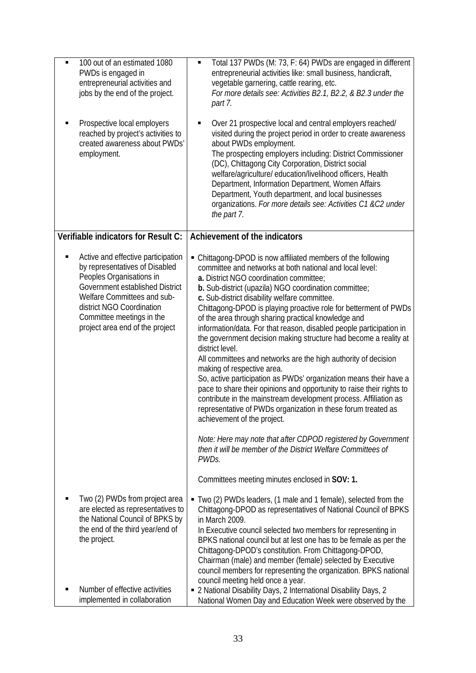| $\blacksquare$<br>П | 100 out of an estimated 1080<br>PWDs is engaged in<br>entrepreneurial activities and<br>jobs by the end of the project.<br>Prospective local employers<br>reached by project's activities to<br>created awareness about PWDs'<br>employment.                    | Total 137 PWDs (M: 73, F: 64) PWDs are engaged in different<br>٠<br>entrepreneurial activities like: small business, handicraft,<br>vegetable garnering, cattle rearing, etc.<br>For more details see: Activities B2.1, B2.2, & B2.3 under the<br>part 7.<br>Over 21 prospective local and central employers reached/<br>п<br>visited during the project period in order to create awareness<br>about PWDs employment.<br>The prospecting employers including: District Commissioner<br>(DC), Chittagong City Corporation, District social<br>welfare/agriculture/ education/livelihood officers, Health<br>Department, Information Department, Women Affairs<br>Department, Youth department, and local businesses<br>organizations. For more details see: Activities C1 &C2 under<br>the part 7.                                                                                                                                                                                                                                                                                                                                                                                          |
|---------------------|-----------------------------------------------------------------------------------------------------------------------------------------------------------------------------------------------------------------------------------------------------------------|---------------------------------------------------------------------------------------------------------------------------------------------------------------------------------------------------------------------------------------------------------------------------------------------------------------------------------------------------------------------------------------------------------------------------------------------------------------------------------------------------------------------------------------------------------------------------------------------------------------------------------------------------------------------------------------------------------------------------------------------------------------------------------------------------------------------------------------------------------------------------------------------------------------------------------------------------------------------------------------------------------------------------------------------------------------------------------------------------------------------------------------------------------------------------------------------|
|                     | <b>Verifiable indicators for Result C:</b>                                                                                                                                                                                                                      | <b>Achievement of the indicators</b>                                                                                                                                                                                                                                                                                                                                                                                                                                                                                                                                                                                                                                                                                                                                                                                                                                                                                                                                                                                                                                                                                                                                                        |
|                     | Active and effective participation<br>by representatives of Disabled<br>Peoples Organisations in<br>Government established District<br>Welfare Committees and sub-<br>district NGO Coordination<br>Committee meetings in the<br>project area end of the project | • Chittagong-DPOD is now affiliated members of the following<br>committee and networks at both national and local level:<br>a. District NGO coordination committee;<br><b>b.</b> Sub-district (upazila) NGO coordination committee;<br>c. Sub-district disability welfare committee.<br>Chittagong-DPOD is playing proactive role for betterment of PWDs<br>of the area through sharing practical knowledge and<br>information/data. For that reason, disabled people participation in<br>the government decision making structure had become a reality at<br>district level.<br>All committees and networks are the high authority of decision<br>making of respective area.<br>So, active participation as PWDs' organization means their have a<br>pace to share their opinions and opportunity to raise their rights to<br>contribute in the mainstream development process. Affiliation as<br>representative of PWDs organization in these forum treated as<br>achievement of the project.<br>Note: Here may note that after CDPOD registered by Government<br>then it will be member of the District Welfare Committees of<br>PWDs.<br>Committees meeting minutes enclosed in SOV: 1. |
|                     | Two (2) PWDs from project area<br>are elected as representatives to<br>the National Council of BPKS by<br>the end of the third year/end of<br>the project.                                                                                                      | • Two (2) PWDs leaders, (1 male and 1 female), selected from the<br>Chittagong-DPOD as representatives of National Council of BPKS<br>in March 2009.<br>In Executive council selected two members for representing in<br>BPKS national council but at lest one has to be female as per the<br>Chittagong-DPOD's constitution. From Chittagong-DPOD,<br>Chairman (male) and member (female) selected by Executive<br>council members for representing the organization. BPKS national<br>council meeting held once a year.                                                                                                                                                                                                                                                                                                                                                                                                                                                                                                                                                                                                                                                                   |
|                     | Number of effective activities<br>implemented in collaboration                                                                                                                                                                                                  | " 2 National Disability Days, 2 International Disability Days, 2<br>National Women Day and Education Week were observed by the                                                                                                                                                                                                                                                                                                                                                                                                                                                                                                                                                                                                                                                                                                                                                                                                                                                                                                                                                                                                                                                              |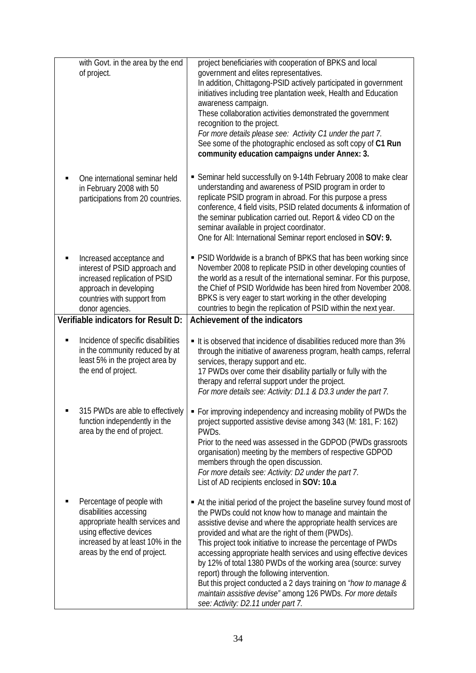| with Govt. in the area by the end<br>of project.                                                                                                                                      | project beneficiaries with cooperation of BPKS and local<br>government and elites representatives.<br>In addition, Chittagong-PSID actively participated in government<br>initiatives including tree plantation week, Health and Education<br>awareness campaign.<br>These collaboration activities demonstrated the government<br>recognition to the project.<br>For more details please see: Activity C1 under the part 7.<br>See some of the photographic enclosed as soft copy of C1 Run<br>community education campaigns under Annex: 3.                                                                                                                                            |
|---------------------------------------------------------------------------------------------------------------------------------------------------------------------------------------|------------------------------------------------------------------------------------------------------------------------------------------------------------------------------------------------------------------------------------------------------------------------------------------------------------------------------------------------------------------------------------------------------------------------------------------------------------------------------------------------------------------------------------------------------------------------------------------------------------------------------------------------------------------------------------------|
| One international seminar held<br>in February 2008 with 50<br>participations from 20 countries.                                                                                       | Seminar held successfully on 9-14th February 2008 to make clear<br>understanding and awareness of PSID program in order to<br>replicate PSID program in abroad. For this purpose a press<br>conference, 4 field visits, PSID related documents & information of<br>the seminar publication carried out. Report & video CD on the<br>seminar available in project coordinator.<br>One for All: International Seminar report enclosed in SOV: 9.                                                                                                                                                                                                                                           |
| Increased acceptance and<br>interest of PSID approach and<br>increased replication of PSID<br>approach in developing<br>countries with support from<br>donor agencies.                | • PSID Worldwide is a branch of BPKS that has been working since<br>November 2008 to replicate PSID in other developing counties of<br>the world as a result of the international seminar. For this purpose,<br>the Chief of PSID Worldwide has been hired from November 2008.<br>BPKS is very eager to start working in the other developing<br>countries to begin the replication of PSID within the next year.                                                                                                                                                                                                                                                                        |
| <b>Verifiable indicators for Result D:</b>                                                                                                                                            | <b>Achievement of the indicators</b>                                                                                                                                                                                                                                                                                                                                                                                                                                                                                                                                                                                                                                                     |
| Incidence of specific disabilities<br>in the community reduced by at<br>least 5% in the project area by<br>the end of project.                                                        | It is observed that incidence of disabilities reduced more than 3%<br>through the initiative of awareness program, health camps, referral<br>services, therapy support and etc.<br>17 PWDs over come their disability partially or fully with the<br>therapy and referral support under the project.<br>For more details see: Activity: D1.1 & D3.3 under the part 7.                                                                                                                                                                                                                                                                                                                    |
| 315 PWDs are able to effectively<br>function independently in the<br>area by the end of project.                                                                                      | • For improving independency and increasing mobility of PWDs the<br>project supported assistive devise among 343 (M: 181, F: 162)<br>PWD <sub>S</sub><br>Prior to the need was assessed in the GDPOD (PWDs grassroots<br>organisation) meeting by the members of respective GDPOD<br>members through the open discussion.<br>For more details see: Activity: D2 under the part 7.<br>List of AD recipients enclosed in SOV: 10.a                                                                                                                                                                                                                                                         |
| Percentage of people with<br>disabilities accessing<br>appropriate health services and<br>using effective devices<br>increased by at least 10% in the<br>areas by the end of project. | • At the initial period of the project the baseline survey found most of<br>the PWDs could not know how to manage and maintain the<br>assistive devise and where the appropriate health services are<br>provided and what are the right of them (PWDs).<br>This project took initiative to increase the percentage of PWDs<br>accessing appropriate health services and using effective devices<br>by 12% of total 1380 PWDs of the working area (source: survey<br>report) through the following intervention.<br>But this project conducted a 2 days training on "how to manage &<br>maintain assistive devise" among 126 PWDs. For more details<br>see: Activity: D2.11 under part 7. |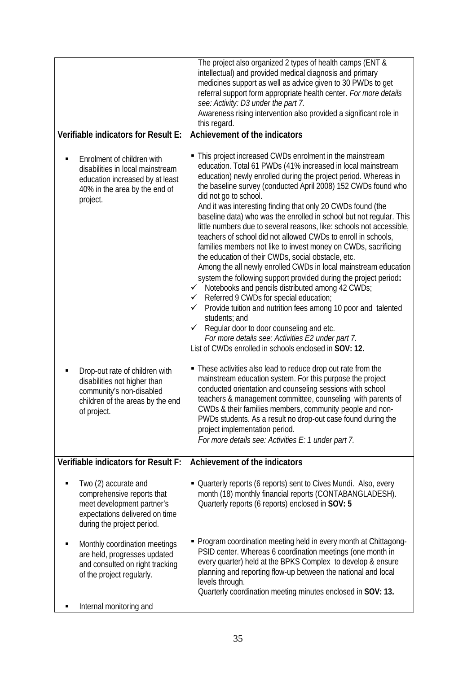|                |                                                                                                                                                  | The project also organized 2 types of health camps (ENT &<br>intellectual) and provided medical diagnosis and primary<br>medicines support as well as advice given to 30 PWDs to get<br>referral support form appropriate health center. For more details<br>see: Activity: D3 under the part 7.<br>Awareness rising intervention also provided a significant role in<br>this regard.                                                                                                                                                                                                                                                                                                                                                                                                                                                                                                                                                                                                                                                                                                                                                                                             |
|----------------|--------------------------------------------------------------------------------------------------------------------------------------------------|-----------------------------------------------------------------------------------------------------------------------------------------------------------------------------------------------------------------------------------------------------------------------------------------------------------------------------------------------------------------------------------------------------------------------------------------------------------------------------------------------------------------------------------------------------------------------------------------------------------------------------------------------------------------------------------------------------------------------------------------------------------------------------------------------------------------------------------------------------------------------------------------------------------------------------------------------------------------------------------------------------------------------------------------------------------------------------------------------------------------------------------------------------------------------------------|
|                | <b>Verifiable indicators for Result E:</b>                                                                                                       | <b>Achievement of the indicators</b>                                                                                                                                                                                                                                                                                                                                                                                                                                                                                                                                                                                                                                                                                                                                                                                                                                                                                                                                                                                                                                                                                                                                              |
| $\blacksquare$ | Enrolment of children with<br>disabilities in local mainstream<br>education increased by at least<br>40% in the area by the end of<br>project.   | • This project increased CWDs enrolment in the mainstream<br>education. Total 61 PWDs (41% increased in local mainstream<br>education) newly enrolled during the project period. Whereas in<br>the baseline survey (conducted April 2008) 152 CWDs found who<br>did not go to school.<br>And it was interesting finding that only 20 CWDs found (the<br>baseline data) who was the enrolled in school but not reqular. This<br>little numbers due to several reasons, like: schools not accessible,<br>teachers of school did not allowed CWDs to enroll in schools,<br>families members not like to invest money on CWDs, sacrificing<br>the education of their CWDs, social obstacle, etc.<br>Among the all newly enrolled CWDs in local mainstream education<br>system the following support provided during the project period:<br>Notebooks and pencils distributed among 42 CWDs;<br>$\checkmark$<br>$\checkmark$ Referred 9 CWDs for special education;<br>Provide tuition and nutrition fees among 10 poor and talented<br>$\checkmark$<br>students; and<br>Regular door to door counseling and etc.<br>$\checkmark$<br>For more details see: Activities E2 under part 7. |
|                | Drop-out rate of children with<br>disabilities not higher than<br>community's non-disabled<br>children of the areas by the end<br>of project.    | List of CWDs enrolled in schools enclosed in <b>SOV: 12.</b><br>• These activities also lead to reduce drop out rate from the<br>mainstream education system. For this purpose the project<br>conducted orientation and counseling sessions with school<br>teachers & management committee, counseling with parents of<br>CWDs & their families members, community people and non-<br>PWDs students. As a result no drop-out case found during the<br>project implementation period.<br>For more details see: Activities E: 1 under part 7.                                                                                                                                                                                                                                                                                                                                                                                                                                                                                                                                                                                                                                       |
|                | <b>Verifiable indicators for Result F:</b>                                                                                                       | <b>Achievement of the indicators</b>                                                                                                                                                                                                                                                                                                                                                                                                                                                                                                                                                                                                                                                                                                                                                                                                                                                                                                                                                                                                                                                                                                                                              |
|                | Two (2) accurate and<br>comprehensive reports that<br>meet development partner's<br>expectations delivered on time<br>during the project period. | • Quarterly reports (6 reports) sent to Cives Mundi. Also, every<br>month (18) monthly financial reports (CONTABANGLADESH).<br>Quarterly reports (6 reports) enclosed in SOV: 5                                                                                                                                                                                                                                                                                                                                                                                                                                                                                                                                                                                                                                                                                                                                                                                                                                                                                                                                                                                                   |
|                | Monthly coordination meetings<br>are held, progresses updated<br>and consulted on right tracking<br>of the project regularly.                    | • Program coordination meeting held in every month at Chittagong-<br>PSID center. Whereas 6 coordination meetings (one month in<br>every quarter) held at the BPKS Complex to develop & ensure<br>planning and reporting flow-up between the national and local<br>levels through.<br>Quarterly coordination meeting minutes enclosed in SOV: 13.                                                                                                                                                                                                                                                                                                                                                                                                                                                                                                                                                                                                                                                                                                                                                                                                                                 |
|                | Internal monitoring and                                                                                                                          |                                                                                                                                                                                                                                                                                                                                                                                                                                                                                                                                                                                                                                                                                                                                                                                                                                                                                                                                                                                                                                                                                                                                                                                   |